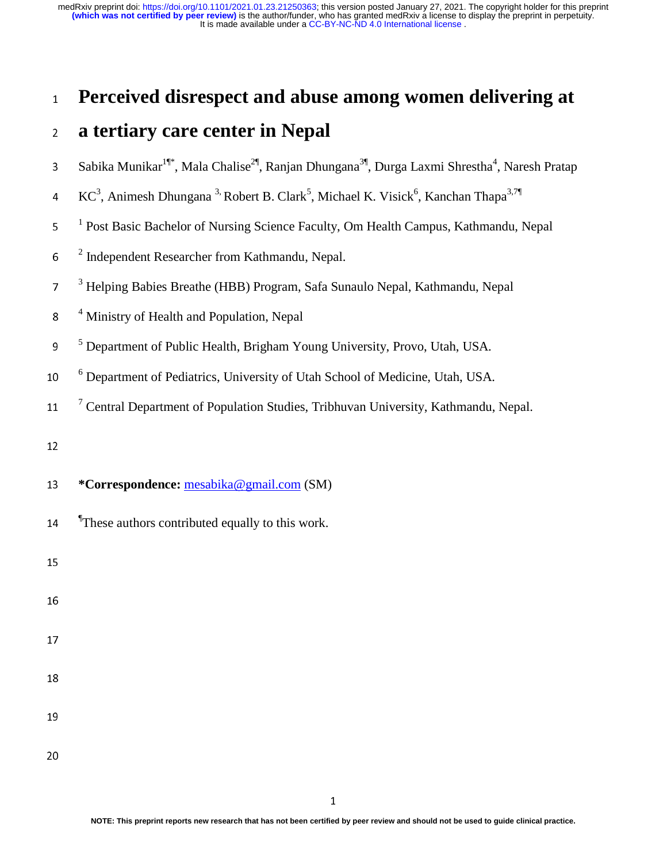## <sup>1</sup>**Perceived disrespect and abuse among women delivering at**

### <sup>2</sup>**a tertiary care center in Nepal**

- 3 Sabika Munikar<sup>1¶\*</sup>, Mala Chalise<sup>2¶</sup>, Ranjan Dhungana<sup>3¶</sup>, Durga Laxmi Shrestha<sup>4</sup>, Naresh Pratap
- 4 KC<sup>3</sup>, Animesh Dhungana<sup>3,</sup> Robert B. Clark<sup>5</sup>, Michael K. Visick<sup>6</sup>, Kanchan Thapa<sup>3,7</sup>
- <sup>1</sup> Post Basic Bachelor of Nursing Science Faculty, Om Health Campus, Kathmandu, Nepal
- $6<sup>2</sup>$  Independent Researcher from Kathmandu, Nepal.
- <sup>3</sup> Helping Babies Breathe (HBB) Program, Safa Sunaulo Nepal, Kathmandu, Nepal
- <sup>4</sup> Ministry of Health and Population, Nepal
- <sup>5</sup> Department of Public Health, Brigham Young University, Provo, Utah, USA.
- <sup>6</sup> Department of Pediatrics, University of Utah School of Medicine, Utah, USA.
- <sup>7</sup> Central Department of Population Studies, Tribhuvan University, Kathmandu, Nepal.
- 
- <sup>13</sup>**\*Correspondence:** mesabika@gmail.com (SM)
- **These authors contributed equally to this work.**

15

- 17
- 
- 
-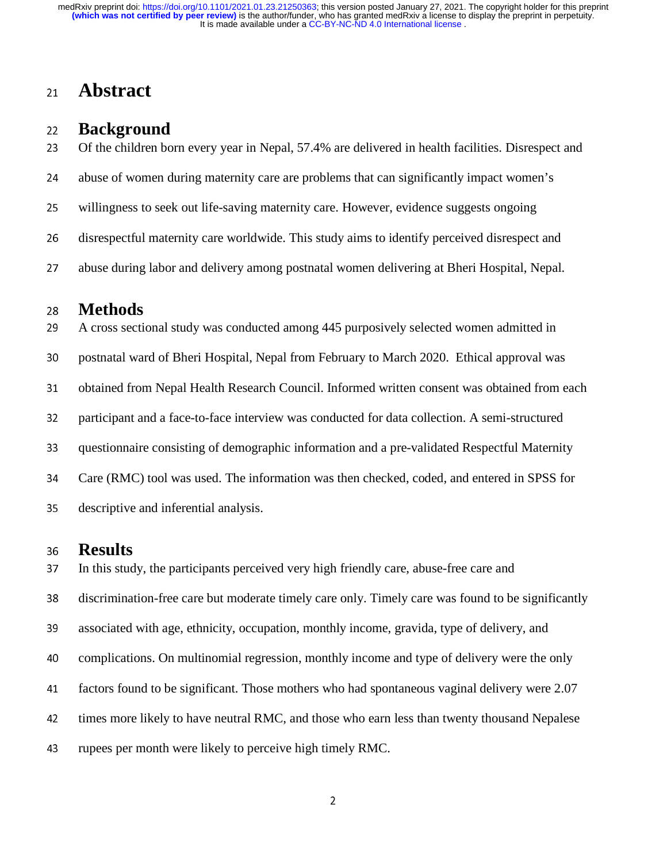### <sup>21</sup>**Abstract**

# 22 **Background**<br>23 Of the children bo

Of the children born every year in Nepal, 57.4% are delivered in health facilities. Disrespect and

24 abuse of women during maternity care are problems that can significantly impact women's

25 willingness to seek out life-saving maternity care. However, evidence suggests ongoing

26 disrespectful maternity care worldwide. This study aims to identify perceived disrespect and

27 abuse during labor and delivery among postnatal women delivering at Bheri Hospital, Nepal.

# <sup>28</sup>**Methods**

A cross sectional study was conducted among 445 purposively selected women admitted in 30 postnatal ward of Bheri Hospital, Nepal from February to March 2020. Ethical approval was 31 obtained from Nepal Health Research Council. Informed written consent was obtained from each 32 participant and a face-to-face interview was conducted for data collection. A semi-structured 33 questionnaire consisting of demographic information and a pre-validated Respectful Maternity 34 Care (RMC) tool was used. The information was then checked, coded, and entered in SPSS for 35 descriptive and inferential analysis.

## <sup>36</sup>**Results**

In this study, the participants perceived very high friendly care, abuse-free care and 38 discrimination-free care but moderate timely care only. Timely care was found to be significantly 39 associated with age, ethnicity, occupation, monthly income, gravida, type of delivery, and <sup>40</sup>complications. On multinomial regression, monthly income and type of delivery were the only 41 factors found to be significant. Those mothers who had spontaneous vaginal delivery were 2.07 42 times more likely to have neutral RMC, and those who earn less than twenty thousand Nepalese 43 rupees per month were likely to perceive high timely RMC.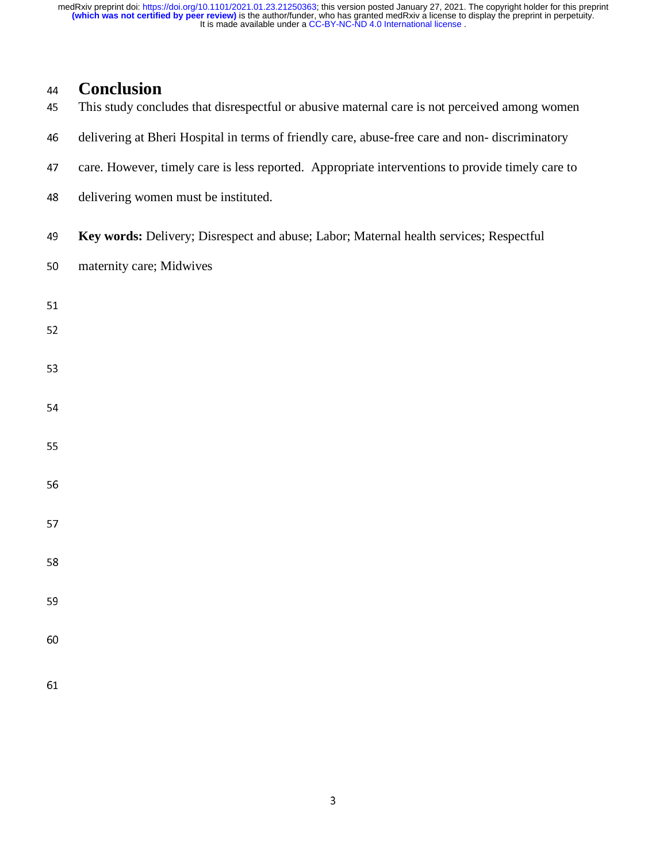# <sup>44</sup>**Conclusion**

- This study concludes that disrespectful or abusive maternal care is not perceived among women
- 46 delivering at Bheri Hospital in terms of friendly care, abuse-free care and non-discriminatory
- 47 care. However, timely care is less reported. Appropriate interventions to provide timely care to
- 48 delivering women must be instituted.
- <sup>49</sup>**Key words:** Delivery; Disrespect and abuse; Labor; Maternal health services; Respectful
- 50 maternity care; Midwives
- 51
- 
- 53
- 
- 
- 55
- 56
- 
- 57
- 58
- 
- 
- 60
-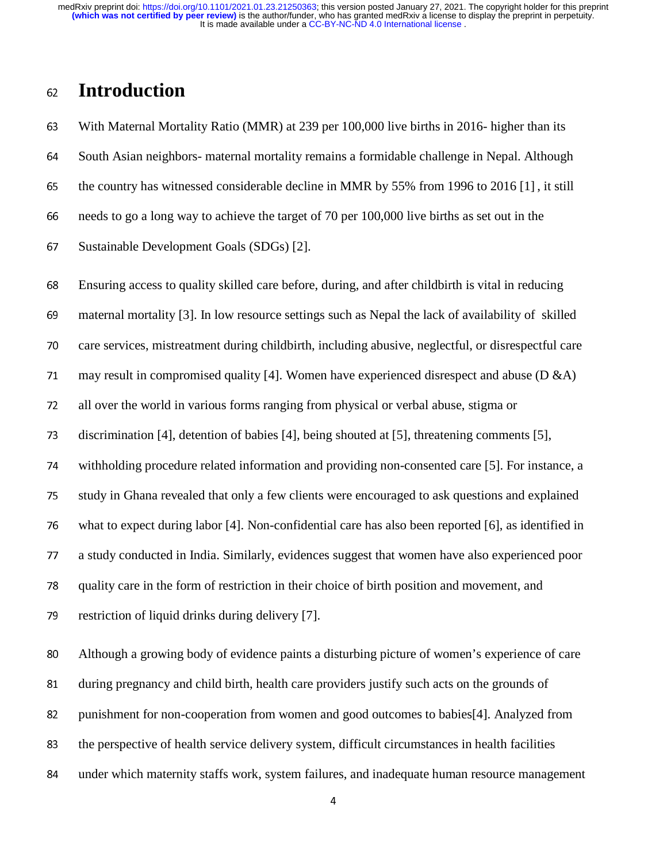## <sup>62</sup>**Introduction**

<sup>63</sup>With Maternal Mortality Ratio (MMR) at 239 per 100,000 live births in 2016- higher than its 64 South Asian neighbors- maternal mortality remains a formidable challenge in Nepal. Although 65 the country has witnessed considerable decline in MMR by 55% from 1996 to 2016 [1], it still <sup>66</sup>needs to go a long way to achieve the target of 70 per 100,000 live births as set out in the 67 Sustainable Development Goals (SDGs) [2].

<sup>68</sup>Ensuring access to quality skilled care before, during, and after childbirth is vital in reducing <sup>69</sup>maternal mortality [3]. In low resource settings such as Nepal the lack of availability of skilled 70 care services, mistreatment during childbirth, including abusive, neglectful, or disrespectful care 71 may result in compromised quality [4]. Women have experienced disrespect and abuse ( $D \& A$ ) <sup>72</sup>all over the world in various forms ranging from physical or verbal abuse, stigma or 73 discrimination [4], detention of babies [4], being shouted at [5], threatening comments [5], <sup>74</sup>withholding procedure related information and providing non-consented care [5]. For instance, a 75 study in Ghana revealed that only a few clients were encouraged to ask questions and explained <sup>76</sup>what to expect during labor [4]. Non-confidential care has also been reported [6], as identified in <sup>77</sup>a study conducted in India. Similarly, evidences suggest that women have also experienced poor <sup>78</sup>quality care in the form of restriction in their choice of birth position and movement, and 79 restriction of liquid drinks during delivery [7].

80 Although a growing body of evidence paints a disturbing picture of women's experience of care 81 during pregnancy and child birth, health care providers justify such acts on the grounds of 82 punishment for non-cooperation from women and good outcomes to babies[4]. Analyzed from 83 the perspective of health service delivery system, difficult circumstances in health facilities 84 under which maternity staffs work, system failures, and inadequate human resource management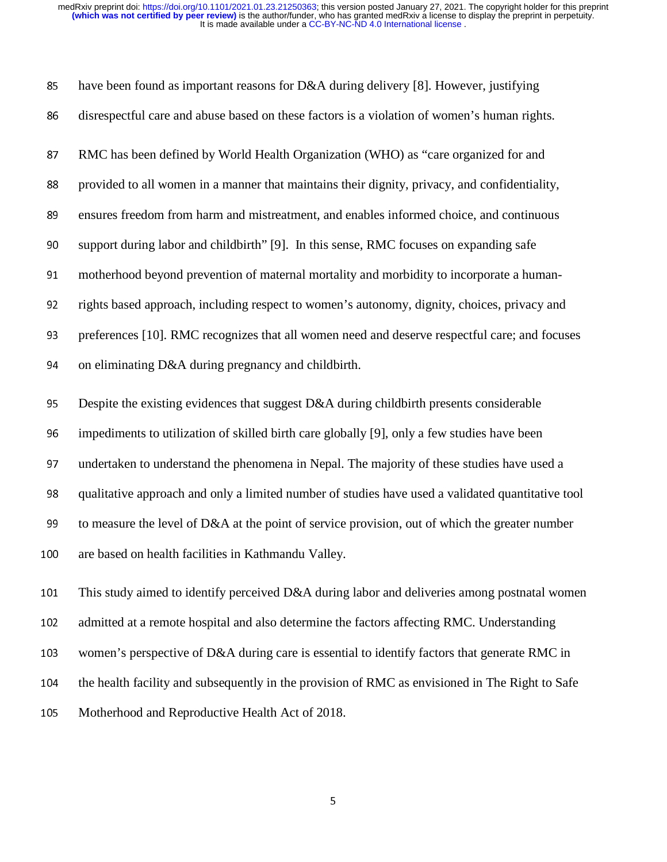| 85  | have been found as important reasons for D&A during delivery [8]. However, justifying             |
|-----|---------------------------------------------------------------------------------------------------|
| 86  | disrespectful care and abuse based on these factors is a violation of women's human rights.       |
| 87  | RMC has been defined by World Health Organization (WHO) as "care organized for and                |
| 88  | provided to all women in a manner that maintains their dignity, privacy, and confidentiality,     |
| 89  | ensures freedom from harm and mistreatment, and enables informed choice, and continuous           |
| 90  | support during labor and childbirth" [9]. In this sense, RMC focuses on expanding safe            |
| 91  | motherhood beyond prevention of maternal mortality and morbidity to incorporate a human-          |
| 92  | rights based approach, including respect to women's autonomy, dignity, choices, privacy and       |
| 93  | preferences [10]. RMC recognizes that all women need and deserve respectful care; and focuses     |
| 94  | on eliminating D&A during pregnancy and childbirth.                                               |
| 95  | Despite the existing evidences that suggest D&A during childbirth presents considerable           |
| 96  | impediments to utilization of skilled birth care globally [9], only a few studies have been       |
| 97  | undertaken to understand the phenomena in Nepal. The majority of these studies have used a        |
| 98  | qualitative approach and only a limited number of studies have used a validated quantitative tool |
| 99  | to measure the level of D&A at the point of service provision, out of which the greater number    |
| 100 | are based on health facilities in Kathmandu Valley.                                               |
| 101 | This study aimed to identify perceived D&A during labor and deliveries among postnatal women      |
| 102 | admitted at a remote hospital and also determine the factors affecting RMC. Understanding         |
| 103 | women's perspective of D&A during care is essential to identify factors that generate RMC in      |
| 104 | the health facility and subsequently in the provision of RMC as envisioned in The Right to Safe   |
| 105 | Motherhood and Reproductive Health Act of 2018.                                                   |
|     |                                                                                                   |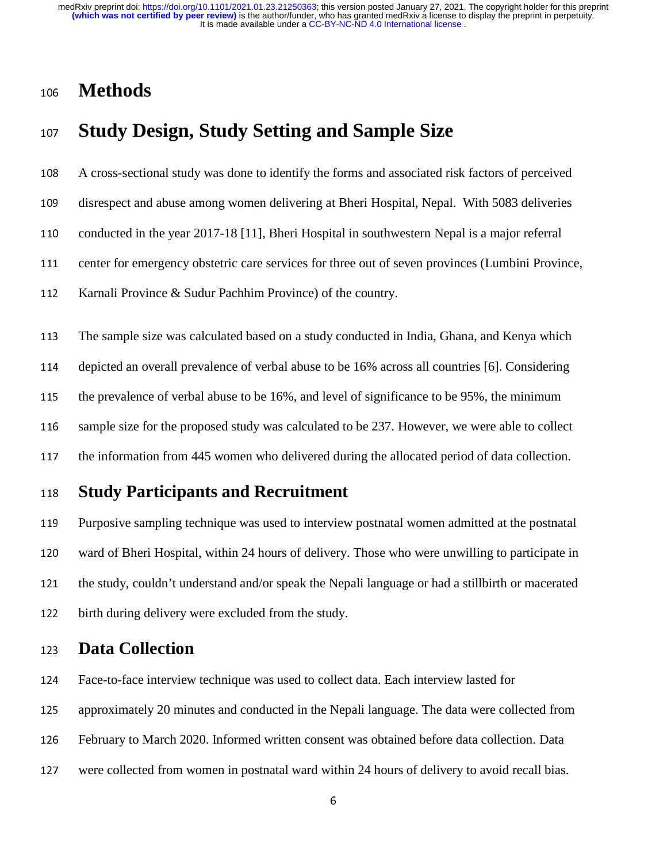## <sup>106</sup>**Methods**

## <sup>107</sup>**Study Design, Study Setting and Sample Size**

<sup>108</sup>A cross-sectional study was done to identify the forms and associated risk factors of perceived

109 disrespect and abuse among women delivering at Bheri Hospital, Nepal. With 5083 deliveries

110 conducted in the year 2017-18 [11], Bheri Hospital in southwestern Nepal is a major referral

111 center for emergency obstetric care services for three out of seven provinces (Lumbini Province,

112 Karnali Province & Sudur Pachhim Province) of the country.

113 The sample size was calculated based on a study conducted in India, Ghana, and Kenya which <sup>114</sup>depicted an overall prevalence of verbal abuse to be 16% across all countries [6]. Considering 115 the prevalence of verbal abuse to be 16%, and level of significance to be 95%, the minimum 116 sample size for the proposed study was calculated to be 237. However, we were able to collect 117 the information from 445 women who delivered during the allocated period of data collection.

### <sup>118</sup>**Study Participants and Recruitment**

119 Purposive sampling technique was used to interview postnatal women admitted at the postnatal 120 ward of Bheri Hospital, within 24 hours of delivery. Those who were unwilling to participate in 121 the study, couldn't understand and/or speak the Nepali language or had a stillbirth or macerated 122 birth during delivery were excluded from the study.

### <sup>123</sup>**Data Collection**

124 Face-to-face interview technique was used to collect data. Each interview lasted for

125 approximately 20 minutes and conducted in the Nepali language. The data were collected from

126 February to March 2020. Informed written consent was obtained before data collection. Data

127 were collected from women in postnatal ward within 24 hours of delivery to avoid recall bias.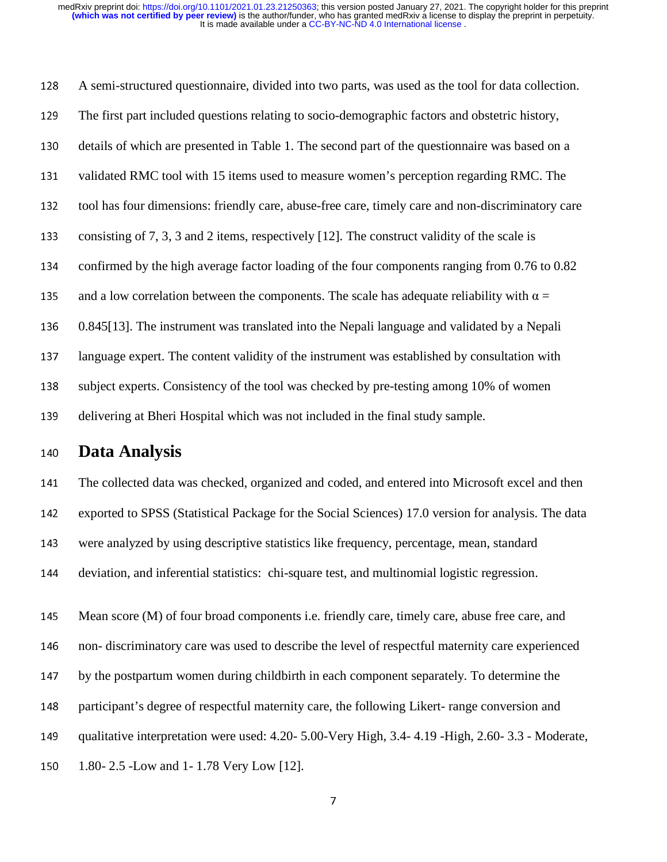<sup>128</sup>A semi-structured questionnaire, divided into two parts, was used as the tool for data collection. <sup>129</sup>The first part included questions relating to socio-demographic factors and obstetric history, 130 details of which are presented in Table 1. The second part of the questionnaire was based on a 131 validated RMC tool with 15 items used to measure women's perception regarding RMC. The 132 tool has four dimensions: friendly care, abuse-free care, timely care and non-discriminatory care 133 consisting of 7, 3, 3 and 2 items, respectively [12]. The construct validity of the scale is 134 confirmed by the high average factor loading of the four components ranging from 0.76 to 0.82 135 and a low correlation between the components. The scale has adequate reliability with  $\alpha =$ <sup>136</sup>0.845[13]. The instrument was translated into the Nepali language and validated by a Nepali 137 language expert. The content validity of the instrument was established by consultation with 138 subject experts. Consistency of the tool was checked by pre-testing among 10% of women 139 delivering at Bheri Hospital which was not included in the final study sample.

### <sup>140</sup>**Data Analysis**

141 The collected data was checked, organized and coded, and entered into Microsoft excel and then 142 exported to SPSS (Statistical Package for the Social Sciences) 17.0 version for analysis. The data 143 were analyzed by using descriptive statistics like frequency, percentage, mean, standard 144 deviation, and inferential statistics: chi-square test, and multinomial logistic regression.

145 Mean score (M) of four broad components i.e. friendly care, timely care, abuse free care, and 146 non-discriminatory care was used to describe the level of respectful maternity care experienced 147 by the postpartum women during childbirth in each component separately. To determine the 148 participant's degree of respectful maternity care, the following Likert- range conversion and 149 qualitative interpretation were used: 4.20- 5.00-Very High, 3.4- 4.19 -High, 2.60- 3.3 - Moderate, 150 1.80- 2.5 -Low and 1- 1.78 Very Low [12].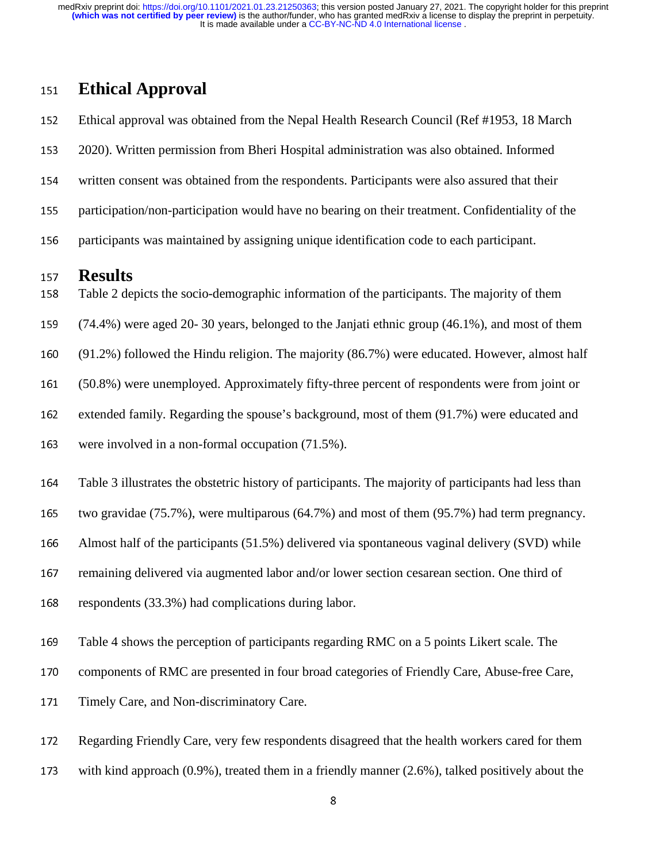### <sup>151</sup>**Ethical Approval**

152 Ethical approval was obtained from the Nepal Health Research Council (Ref #1953, 18 March <sup>153</sup>2020). Written permission from Bheri Hospital administration was also obtained. Informed 154 written consent was obtained from the respondents. Participants were also assured that their 155 participation/non-participation would have no bearing on their treatment. Confidentiality of the 156 participants was maintained by assigning unique identification code to each participant.

## 157 **Results**<br>158 Table 2 deg

- Table 2 depicts the socio-demographic information of the participants. The majority of them
- <sup>159</sup>(74.4%) were aged 20- 30 years, belonged to the Janjati ethnic group (46.1%), and most of them
- <sup>160</sup>(91.2%) followed the Hindu religion. The majority (86.7%) were educated. However, almost half
- <sup>161</sup>(50.8%) were unemployed. Approximately fifty-three percent of respondents were from joint or
- 162 extended family. Regarding the spouse's background, most of them (91.7%) were educated and
- 163 were involved in a non-formal occupation (71.5%).
- 164 Table 3 illustrates the obstetric history of participants. The majority of participants had less than
- 165 two gravidae (75.7%), were multiparous (64.7%) and most of them (95.7%) had term pregnancy.
- 166 Almost half of the participants  $(51.5%)$  delivered via spontaneous vaginal delivery (SVD) while
- 167 remaining delivered via augmented labor and/or lower section cesarean section. One third of
- 168 respondents (33.3%) had complications during labor.
- 169 Table 4 shows the perception of participants regarding RMC on a 5 points Likert scale. The
- 170 components of RMC are presented in four broad categories of Friendly Care, Abuse-free Care,
- 171 Timely Care, and Non-discriminatory Care.
- <sup>172</sup>Regarding Friendly Care, very few respondents disagreed that the health workers cared for them
- 173 with kind approach  $(0.9\%)$ , treated them in a friendly manner  $(2.6\%)$ , talked positively about the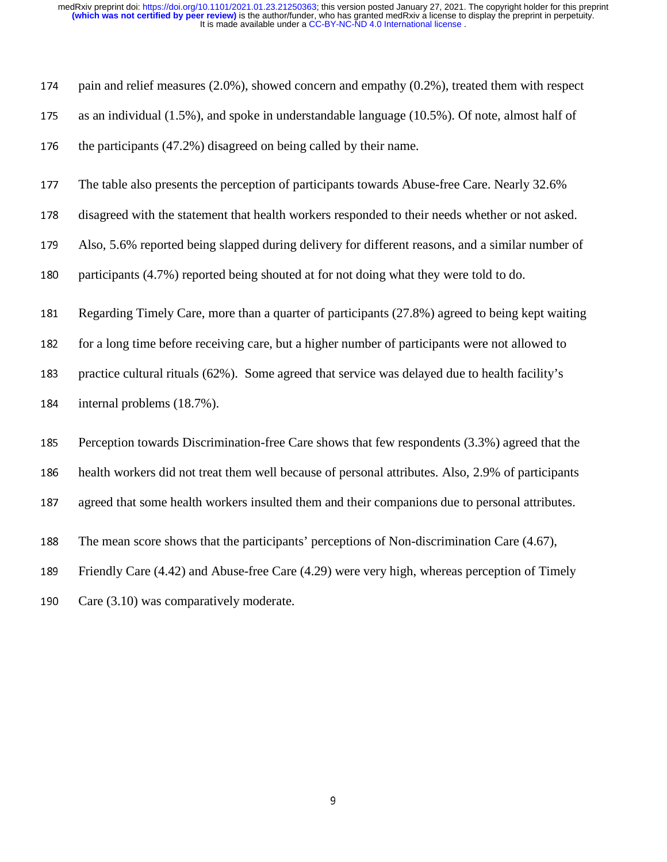| pain and relief measures $(2.0\%)$ , showed concern and empathy $(0.2\%)$ , treated them with respect |
|-------------------------------------------------------------------------------------------------------|
| as an individual (1.5%), and spoke in understandable language (10.5%). Of note, almost half of        |
| the participants (47.2%) disagreed on being called by their name.                                     |
| The table also presents the perception of participants towards Abuse-free Care. Nearly 32.6%          |
| disagreed with the statement that health workers responded to their needs whether or not asked.       |
| Also, 5.6% reported being slapped during delivery for different reasons, and a similar number of      |
| participants (4.7%) reported being shouted at for not doing what they were told to do.                |
| Regarding Timely Care, more than a quarter of participants (27.8%) agreed to being kept waiting       |
| for a long time before receiving care, but a higher number of participants were not allowed to        |
| practice cultural rituals (62%). Some agreed that service was delayed due to health facility's        |
| internal problems (18.7%).                                                                            |
| Perception towards Discrimination-free Care shows that few respondents (3.3%) agreed that the         |
| health workers did not treat them well because of personal attributes. Also, 2.9% of participants     |
| agreed that some health workers insulted them and their companions due to personal attributes.        |
| The mean score shows that the participants' perceptions of Non-discrimination Care (4.67),            |
| Friendly Care (4.42) and Abuse-free Care (4.29) were very high, whereas perception of Timely          |
| Care (3.10) was comparatively moderate.                                                               |
|                                                                                                       |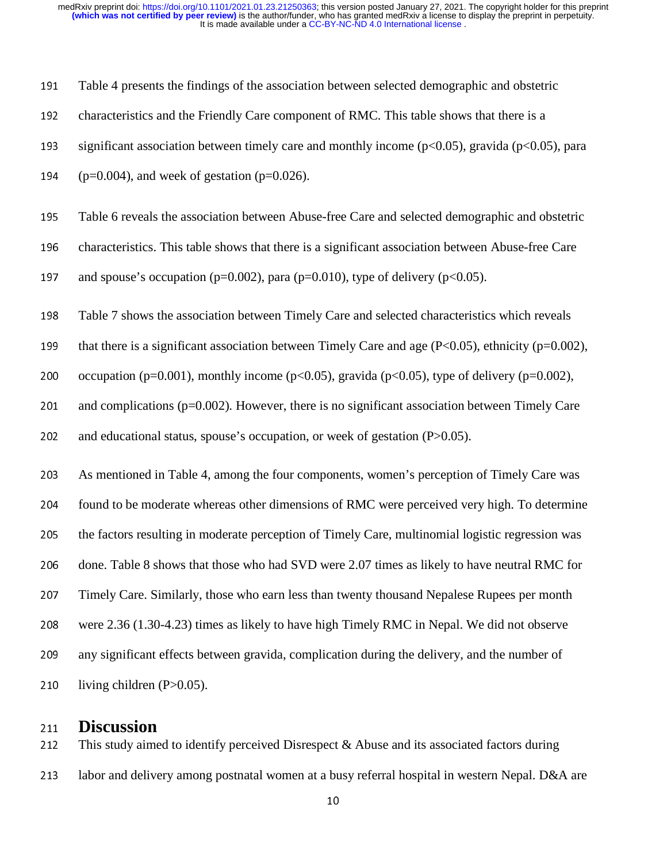| 191 | Table 4 presents the findings of the association between selected demographic and obstetric                  |  |  |  |
|-----|--------------------------------------------------------------------------------------------------------------|--|--|--|
| 192 | characteristics and the Friendly Care component of RMC. This table shows that there is a                     |  |  |  |
| 193 | significant association between timely care and monthly income $(p<0.05)$ , gravida $(p<0.05)$ , para        |  |  |  |
| 194 | $(p=0.004)$ , and week of gestation ( $p=0.026$ ).                                                           |  |  |  |
| 195 | Table 6 reveals the association between Abuse-free Care and selected demographic and obstetric               |  |  |  |
| 196 | characteristics. This table shows that there is a significant association between Abuse-free Care            |  |  |  |
| 197 | and spouse's occupation ( $p=0.002$ ), para ( $p=0.010$ ), type of delivery ( $p<0.05$ ).                    |  |  |  |
| 198 | Table 7 shows the association between Timely Care and selected characteristics which reveals                 |  |  |  |
| 199 | that there is a significant association between Timely Care and age $(P<0.05)$ , ethnicity (p=0.002),        |  |  |  |
| 200 | occupation ( $p=0.001$ ), monthly income ( $p<0.05$ ), gravida ( $p<0.05$ ), type of delivery ( $p=0.002$ ), |  |  |  |
| 201 | and complications ( $p=0.002$ ). However, there is no significant association between Timely Care            |  |  |  |
| 202 | and educational status, spouse's occupation, or week of gestation (P>0.05).                                  |  |  |  |
| 203 | As mentioned in Table 4, among the four components, women's perception of Timely Care was                    |  |  |  |
| 204 | found to be moderate whereas other dimensions of RMC were perceived very high. To determine                  |  |  |  |
| 205 | the factors resulting in moderate perception of Timely Care, multinomial logistic regression was             |  |  |  |
| 206 | done. Table 8 shows that those who had SVD were 2.07 times as likely to have neutral RMC for                 |  |  |  |
| 207 | Timely Care. Similarly, those who earn less than twenty thousand Nepalese Rupees per month                   |  |  |  |
| 208 | were 2.36 (1.30-4.23) times as likely to have high Timely RMC in Nepal. We did not observe                   |  |  |  |
| 209 | any significant effects between gravida, complication during the delivery, and the number of                 |  |  |  |
| 210 | living children $(P>0.05)$ .                                                                                 |  |  |  |
|     |                                                                                                              |  |  |  |

# 211 **Discussion**<br>212 This study aime

This study aimed to identify perceived Disrespect  $\&$  Abuse and its associated factors during 213 labor and delivery among postnatal women at a busy referral hospital in western Nepal. D&A are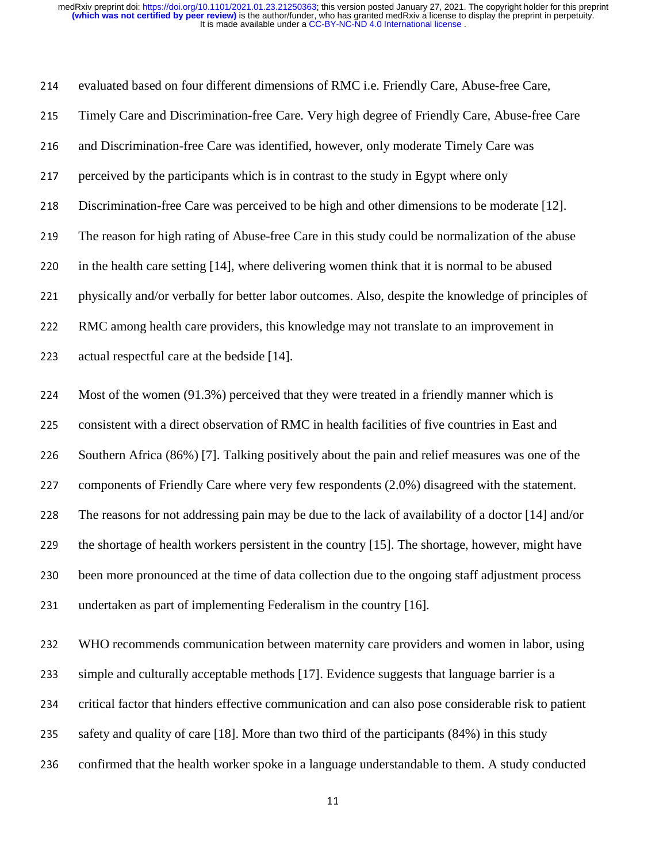214 evaluated based on four different dimensions of RMC i.e. Friendly Care, Abuse-free Care, 215 Timely Care and Discrimination-free Care. Very high degree of Friendly Care, Abuse-free Care 216 and Discrimination-free Care was identified, however, only moderate Timely Care was 217 perceived by the participants which is in contrast to the study in Egypt where only 218 Discrimination-free Care was perceived to be high and other dimensions to be moderate [12]. 219 The reason for high rating of Abuse-free Care in this study could be normalization of the abuse 220 in the health care setting  $[14]$ , where delivering women think that it is normal to be abused 221 physically and/or verbally for better labor outcomes. Also, despite the knowledge of principles of <sup>222</sup>RMC among health care providers, this knowledge may not translate to an improvement in 223  $\alpha$  actual respectful care at the bedside [14]. 224 Most of the women (91.3%) perceived that they were treated in a friendly manner which is 225 consistent with a direct observation of RMC in health facilities of five countries in East and 226 Southern Africa (86%) [7]. Talking positively about the pain and relief measures was one of the 227 components of Friendly Care where very few respondents (2.0%) disagreed with the statement. 228 The reasons for not addressing pain may be due to the lack of availability of a doctor [14] and/or 229 the shortage of health workers persistent in the country  $[15]$ . The shortage, however, might have 230 been more pronounced at the time of data collection due to the ongoing staff adjustment process 231 undertaken as part of implementing Federalism in the country [16]. <sup>232</sup>WHO recommends communication between maternity care providers and women in labor, using 233 simple and culturally acceptable methods [17]. Evidence suggests that language barrier is a 234 critical factor that hinders effective communication and can also pose considerable risk to patient

235 safety and quality of care [18]. More than two third of the participants  $(84%)$  in this study

236 confirmed that the health worker spoke in a language understandable to them. A study conducted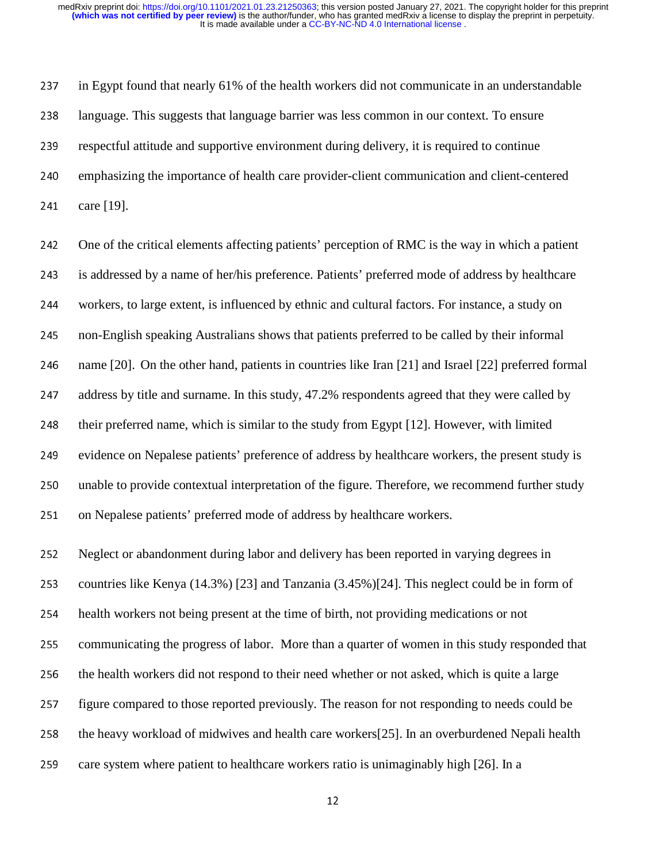237 in Egypt found that nearly 61% of the health workers did not communicate in an understandable <sup>238</sup>language. This suggests that language barrier was less common in our context. To ensure 239 respectful attitude and supportive environment during delivery, it is required to continue <sup>240</sup>emphasizing the importance of health care provider-client communication and client-centered 241 care [19].

242 One of the critical elements affecting patients' perception of RMC is the way in which a patient 243 is addressed by a name of her/his preference. Patients' preferred mode of address by healthcare 244 workers, to large extent, is influenced by ethnic and cultural factors. For instance, a study on 245 non-English speaking Australians shows that patients preferred to be called by their informal 246 name [20]. On the other hand, patients in countries like Iran [21] and Israel [22] preferred formal 247 address by title and surname. In this study, 47.2% respondents agreed that they were called by 248 their preferred name, which is similar to the study from Egypt [12]. However, with limited 249 evidence on Nepalese patients' preference of address by healthcare workers, the present study is 250 unable to provide contextual interpretation of the figure. Therefore, we recommend further study 251 on Nepalese patients' preferred mode of address by healthcare workers.

252 Neglect or abandonment during labor and delivery has been reported in varying degrees in 253 countries like Kenya (14.3%) [23] and Tanzania  $(3.45%)$ [24]. This neglect could be in form of 254 health workers not being present at the time of birth, not providing medications or not 255 communicating the progress of labor. More than a quarter of women in this study responded that 256 the health workers did not respond to their need whether or not asked, which is quite a large 257 figure compared to those reported previously. The reason for not responding to needs could be 258 the heavy workload of midwives and health care workers [25]. In an overburdened Nepali health 259 care system where patient to healthcare workers ratio is unimaginably high  $[26]$ . In a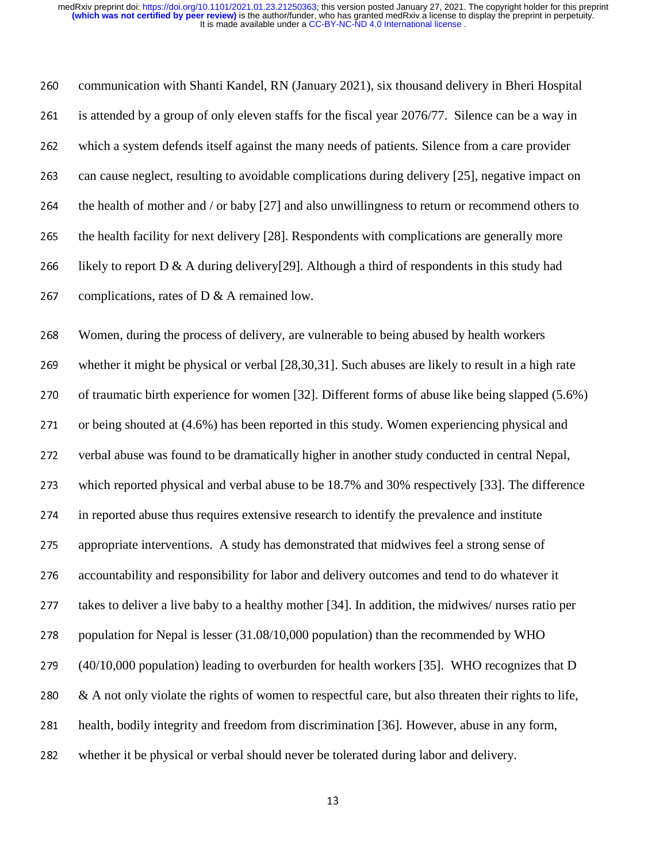260 communication with Shanti Kandel, RN (January 2021), six thousand delivery in Bheri Hospital 261 is attended by a group of only eleven staffs for the fiscal year 2076/77. Silence can be a way in <sup>262</sup>which a system defends itself against the many needs of patients. Silence from a care provider 263 can cause neglect, resulting to avoidable complications during delivery [25], negative impact on 264 the health of mother and / or baby  $[27]$  and also unwillingness to return or recommend others to 265 the health facility for next delivery [28]. Respondents with complications are generally more 266 likely to report D & A during delivery[29]. Although a third of respondents in this study had 267 complications, rates of D  $&$  A remained low.

268 Women, during the process of delivery, are vulnerable to being abused by health workers 269 whether it might be physical or verbal [28,30,31]. Such abuses are likely to result in a high rate 270 of traumatic birth experience for women [32]. Different forms of abuse like being slapped (5.6%) 271 or being shouted at (4.6%) has been reported in this study. Women experiencing physical and 272 verbal abuse was found to be dramatically higher in another study conducted in central Nepal, 273 which reported physical and verbal abuse to be 18.7% and 30% respectively [33]. The difference 274 in reported abuse thus requires extensive research to identify the prevalence and institute 275 appropriate interventions. A study has demonstrated that midwives feel a strong sense of 276 accountability and responsibility for labor and delivery outcomes and tend to do whatever it 277 takes to deliver a live baby to a healthy mother [34]. In addition, the midwives/ nurses ratio per 278 population for Nepal is lesser  $(31.08/10,000$  population) than the recommended by WHO  $279$  (40/10,000 population) leading to overburden for health workers [35]. WHO recognizes that D 280  $\&$  A not only violate the rights of women to respectful care, but also threaten their rights to life, 281 health, bodily integrity and freedom from discrimination [36]. However, abuse in any form, 282 whether it be physical or verbal should never be tolerated during labor and delivery.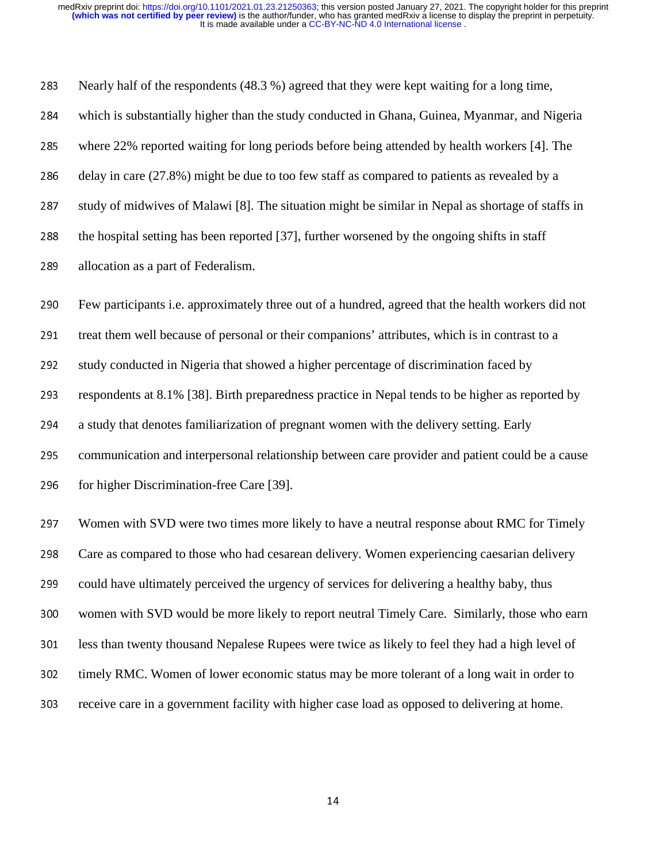283 Nearly half of the respondents (48.3 %) agreed that they were kept waiting for a long time, 284 which is substantially higher than the study conducted in Ghana, Guinea, Myanmar, and Nigeria 285 where 22% reported waiting for long periods before being attended by health workers [4]. The 286 delay in care  $(27.8\%)$  might be due to too few staff as compared to patients as revealed by a 287 study of midwives of Malawi [8]. The situation might be similar in Nepal as shortage of staffs in 288 the hospital setting has been reported [37], further worsened by the ongoing shifts in staff 289 allocation as a part of Federalism. 290 Few participants i.e. approximately three out of a hundred, agreed that the health workers did not 291 treat them well because of personal or their companions' attributes, which is in contrast to a 292 study conducted in Nigeria that showed a higher percentage of discrimination faced by 293 respondents at 8.1% [38]. Birth preparedness practice in Nepal tends to be higher as reported by 294 a study that denotes familiarization of pregnant women with the delivery setting. Early 295 communication and interpersonal relationship between care provider and patient could be a cause 296 for higher Discrimination-free Care [39]. 297 Women with SVD were two times more likely to have a neutral response about RMC for Timely <sup>298</sup>Care as compared to those who had cesarean delivery. Women experiencing caesarian delivery 299 could have ultimately perceived the urgency of services for delivering a healthy baby, thus 300 women with SVD would be more likely to report neutral Timely Care. Similarly, those who earn 301 less than twenty thousand Nepalese Rupees were twice as likely to feel they had a high level of 302 timely RMC. Women of lower economic status may be more tolerant of a long wait in order to 303 receive care in a government facility with higher case load as opposed to delivering at home.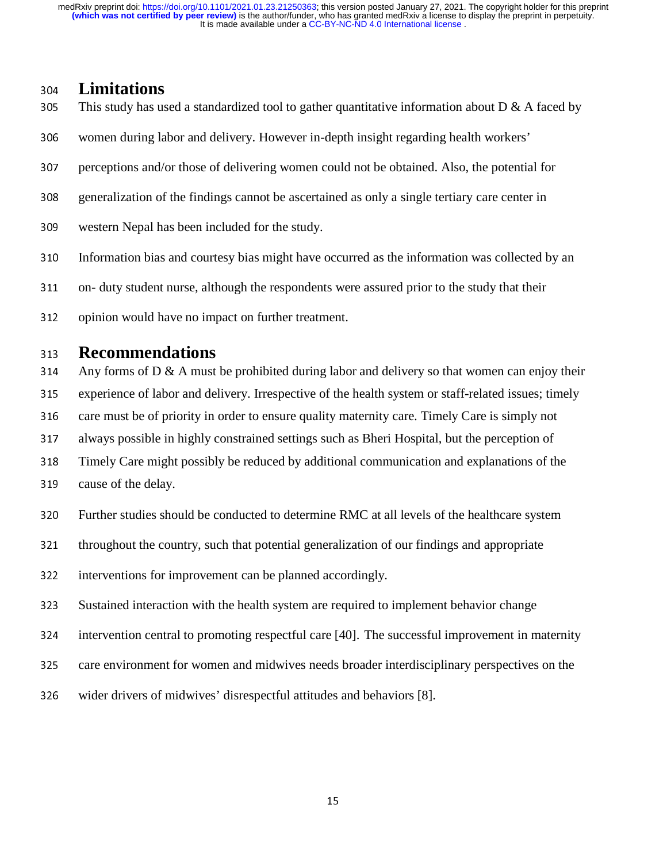# <sup>304</sup>**Limitations**

- This study has used a standardized tool to gather quantitative information about  $D \& A$  faced by
- 306 women during labor and delivery. However in-depth insight regarding health workers'
- 307 perceptions and/or those of delivering women could not be obtained. Also, the potential for
- 308 generalization of the findings cannot be ascertained as only a single tertiary care center in
- 309 western Nepal has been included for the study.
- 310 Information bias and courtesy bias might have occurred as the information was collected by an
- 311 on- duty student nurse, although the respondents were assured prior to the study that their
- 312 opinion would have no impact on further treatment.

# 313 **Recommendations**<br>314 Any forms of D & A must

- Any forms of D  $\&$  A must be prohibited during labor and delivery so that women can enjoy their
- 315 experience of labor and delivery. Irrespective of the health system or staff-related issues; timely
- 316 care must be of priority in order to ensure quality maternity care. Timely Care is simply not
- 317 always possible in highly constrained settings such as Bheri Hospital, but the perception of
- 318 Timely Care might possibly be reduced by additional communication and explanations of the
- 319 cause of the delay.
- 320 Further studies should be conducted to determine RMC at all levels of the healthcare system
- 321 throughout the country, such that potential generalization of our findings and appropriate
- 322 interventions for improvement can be planned accordingly.
- 323 Sustained interaction with the health system are required to implement behavior change
- intervention central to promoting respectful care [40]. The successful improvement in maternity
- 325 care environment for women and midwives needs broader interdisciplinary perspectives on the
- 326 wider drivers of midwives' disrespectful attitudes and behaviors [8].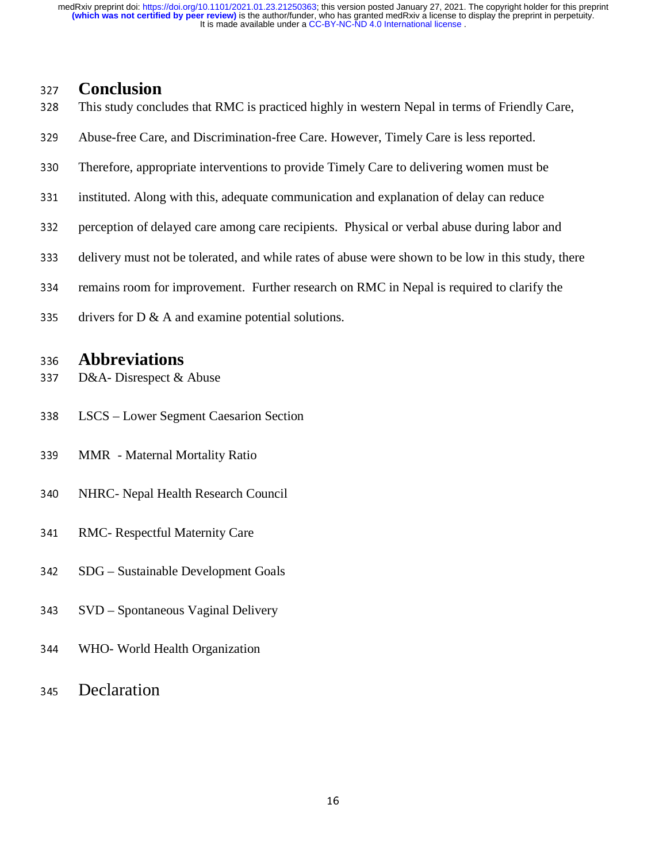# 327 **Conclusion**<br>328 This study concl

- This study concludes that RMC is practiced highly in western Nepal in terms of Friendly Care,
- 329 Abuse-free Care, and Discrimination-free Care. However, Timely Care is less reported.
- 330 Therefore, appropriate interventions to provide Timely Care to delivering women must be
- 331 instituted. Along with this, adequate communication and explanation of delay can reduce
- 332 perception of delayed care among care recipients. Physical or verbal abuse during labor and
- 333 delivery must not be tolerated, and while rates of abuse were shown to be low in this study, there
- 334 remains room for improvement. Further research on RMC in Nepal is required to clarify the
- 335 drivers for  $D \& A$  and examine potential solutions.

# <sup>336</sup>**Abbreviations**

- D&A- Disrespect & Abuse
- <sup>338</sup>LSCS Lower Segment Caesarion Section
- <sup>339</sup>MMR Maternal Mortality Ratio
- 340 NHRC- Nepal Health Research Council
- 341 RMC- Respectful Maternity Care
- 342 SDG Sustainable Development Goals
- 343 SVD Spontaneous Vaginal Delivery
- <sup>344</sup>WHO- World Health Organization
- <sup>345</sup>Declaration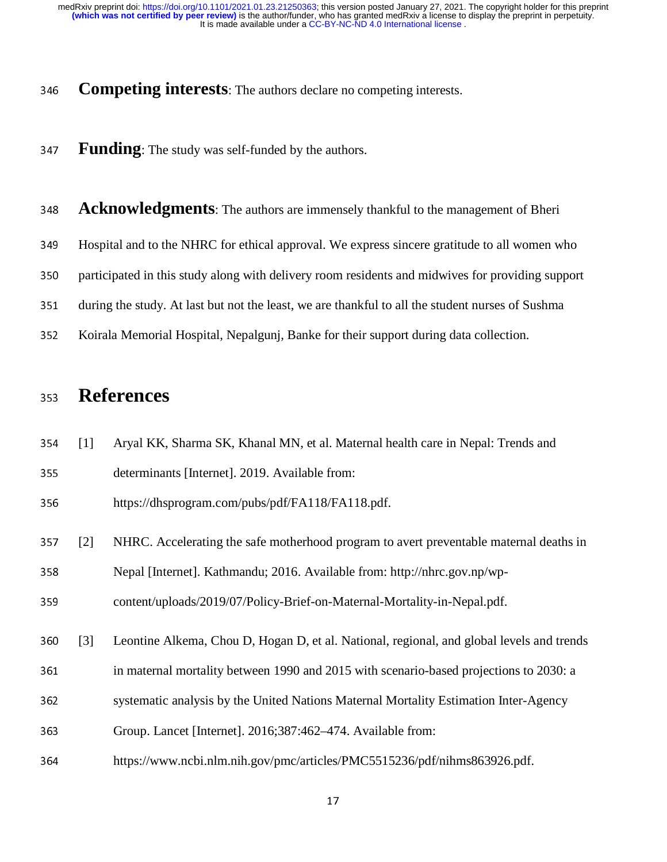- <sup>346</sup>**Competing interests**: The authors declare no competing interests.
- <sup>347</sup>**Funding**: The study was self-funded by the authors.

| 348 Acknowledgments: The authors are immensely thankful to the management of Bheri |
|------------------------------------------------------------------------------------|
|                                                                                    |

- 349 Hospital and to the NHRC for ethical approval. We express sincere gratitude to all women who
- 350 participated in this study along with delivery room residents and midwives for providing support
- 351 during the study. At last but not the least, we are thankful to all the student nurses of Sushma
- 352 Koirala Memorial Hospital, Nepalgunj, Banke for their support during data collection.

### <sup>353</sup>**References**

- <sup>354</sup>[1] Aryal KK, Sharma SK, Khanal MN, et al. Maternal health care in Nepal: Trends and
- 355 determinants [Internet]. 2019. Available from:
- 356 https://dhsprogram.com/pubs/pdf/FA118/FA118.pdf.
- <sup>357</sup>[2] NHRC. Accelerating the safe motherhood program to avert preventable maternal deaths in
- 358 Nepal [Internet]. Kathmandu; 2016. Available from: http://nhrc.gov.np/wp-

359 content/uploads/2019/07/Policy-Brief-on-Maternal-Mortality-in-Nepal.pdf.

- <sup>360</sup>[3] Leontine Alkema, Chou D, Hogan D, et al. National, regional, and global levels and trends
- <sup>361</sup>in maternal mortality between 1990 and 2015 with scenario-based projections to 2030: a
- 362 systematic analysis by the United Nations Maternal Mortality Estimation Inter-Agency
- 363 Group. Lancet [Internet]. 2016;387:462–474. Available from:
- <sup>364</sup>https://www.ncbi.nlm.nih.gov/pmc/articles/PMC5515236/pdf/nihms863926.pdf.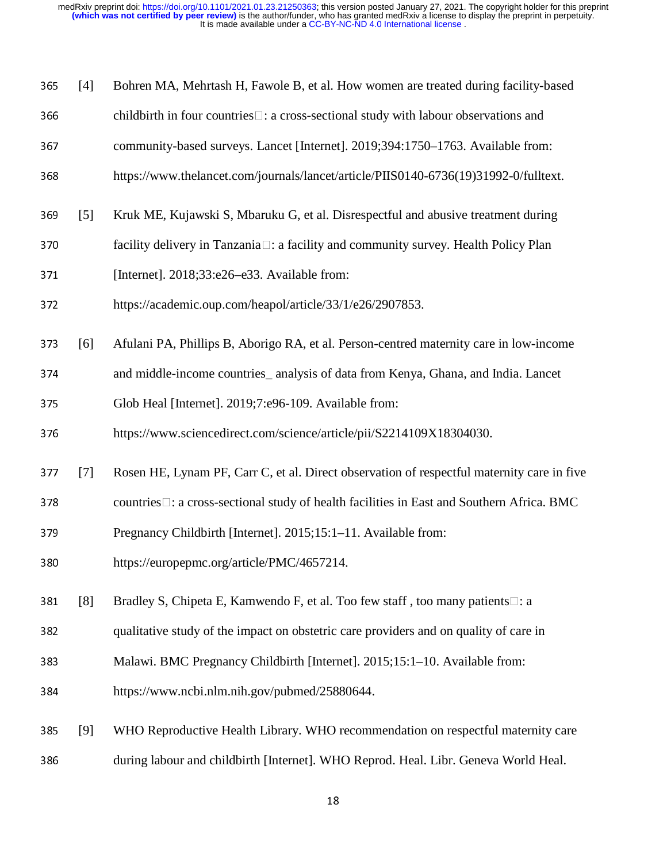|  | 365 [4] Bohren MA, Mehrtash H, Fawole B, et al. How women are treated during facility-based |
|--|---------------------------------------------------------------------------------------------|
|  |                                                                                             |

- $366$  childbirth in four countries  $\Box$ : a cross-sectional study with labour observations and
- 367 community-based surveys. Lancet [Internet]. 2019;394:1750–1763. Available from:
- 368 https://www.thelancet.com/journals/lancet/article/PIIS0140-6736(19)31992-0/fulltext.
- <sup>369</sup>[5] Kruk ME, Kujawski S, Mbaruku G, et al. Disrespectful and abusive treatment during
- 370 facility delivery in Tanzania□: a facility and community survey. Health Policy Plan
- 371 [Internet]. 2018;33:e26–e33. Available from:
- 372 https://academic.oup.com/heapol/article/33/1/e26/2907853.
- <sup>373</sup>[6] Afulani PA, Phillips B, Aborigo RA, et al. Person-centred maternity care in low-income
- <sup>374</sup>and middle-income countries\_ analysis of data from Kenya, Ghana, and India. Lancet
- <sup>375</sup>Glob Heal [Internet]. 2019;7:e96-109. Available from:
- <sup>376</sup>https://www.sciencedirect.com/science/article/pii/S2214109X18304030.
- <sup>377</sup>[7] Rosen HE, Lynam PF, Carr C, et al. Direct observation of respectful maternity care in five
- $378$  countries $\Box$ : a cross-sectional study of health facilities in East and Southern Africa. BMC
- 379 Pregnancy Childbirth [Internet]. 2015;15:1–11. Available from:
- <sup>380</sup>https://europepmc.org/article/PMC/4657214.
- 381 [8] Bradley S, Chipeta E, Kamwendo F, et al. Too few staff, too many patients  $\Box$ : a
- 382 qualitative study of the impact on obstetric care providers and on quality of care in
- 383 Malawi. BMC Pregnancy Childbirth [Internet]. 2015;15:1–10. Available from:
- <sup>384</sup>https://www.ncbi.nlm.nih.gov/pubmed/25880644.
- <sup>385</sup>[9] WHO Reproductive Health Library. WHO recommendation on respectful maternity care 386 during labour and childbirth [Internet]. WHO Reprod. Heal. Libr. Geneva World Heal.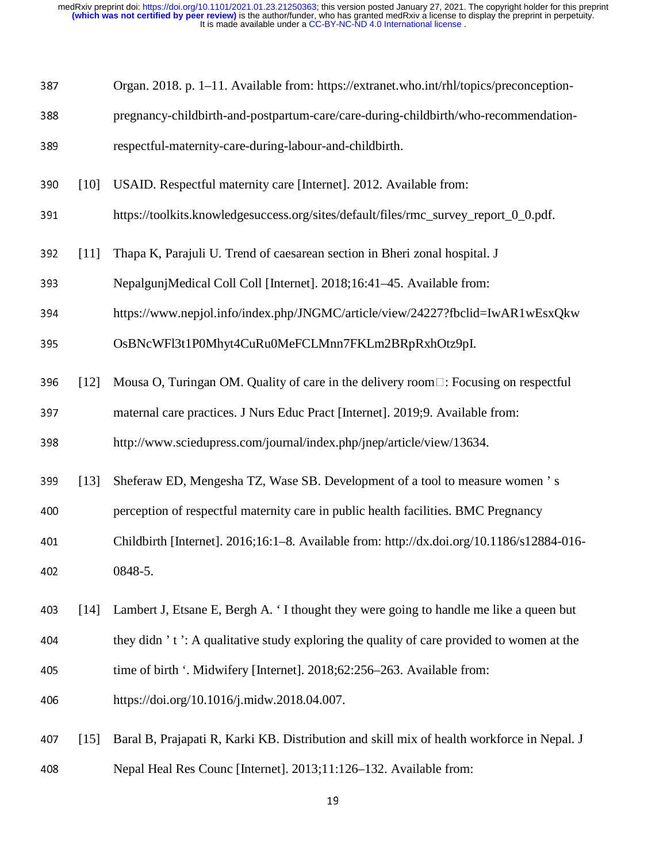| 387 | Organ. 2018. p. 1–11. Available from: https://extranet.who.int/rhl/topics/preconception- |
|-----|------------------------------------------------------------------------------------------|
|     |                                                                                          |

388 pregnancy-childbirth-and-postpartum-care/care-during-childbirth/who-recommendation-

389 respectful-maternity-care-during-labour-and-childbirth.

- <sup>390</sup>[10] USAID. Respectful maternity care [Internet]. 2012. Available from:
- 391 https://toolkits.knowledgesuccess.org/sites/default/files/rmc\_survey\_report\_0\_0.pdf.
- <sup>392</sup>[11] Thapa K, Parajuli U. Trend of caesarean section in Bheri zonal hospital. J
- 393 NepalgunjMedical Coll Coll [Internet]. 2018;16:41–45. Available from:
- <sup>394</sup>https://www.nepjol.info/index.php/JNGMC/article/view/24227?fbclid=IwAR1wEsxQkw
- 395 OsBNcWFl3t1P0Mhyt4CuRu0MeFCLMnn7FKLm2BRpRxhOtz9pI.
- 396 [12] Mousa O, Turingan OM. Quality of care in the delivery room  $\Box$ : Focusing on respectful
- 397 maternal care practices. J Nurs Educ Pract [Internet]. 2019;9. Available from:

398 http://www.sciedupress.com/journal/index.php/jnep/article/view/13634.

<sup>399</sup>[13] Sheferaw ED, Mengesha TZ, Wase SB. Development of a tool to measure women ' s

400 perception of respectful maternity care in public health facilities. BMC Pregnancy

- <sup>401</sup>Childbirth [Internet]. 2016;16:1–8. Available from: http://dx.doi.org/10.1186/s12884-016- 402 0848-5.
- <sup>403</sup>[14] Lambert J, Etsane E, Bergh A. ' I thought they were going to handle me like a queen but
- 404 they didn  $\dot{\ }$  t  $\dot{\ }$ : A qualitative study exploring the quality of care provided to women at the
- 405 time of birth '. Midwifery [Internet]. 2018;62:256–263. Available from:
- <sup>406</sup>https://doi.org/10.1016/j.midw.2018.04.007.
- <sup>407</sup>[15] Baral B, Prajapati R, Karki KB. Distribution and skill mix of health workforce in Nepal. J 408 Nepal Heal Res Counc [Internet]. 2013;11:126–132. Available from: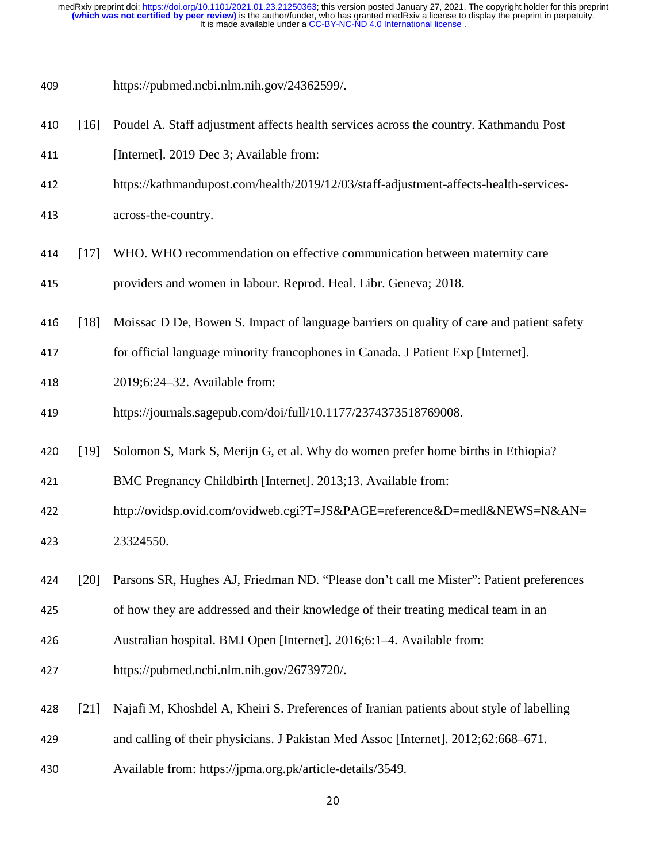- <sup>409</sup>https://pubmed.ncbi.nlm.nih.gov/24362599/.
- <sup>410</sup>[16] Poudel A. Staff adjustment affects health services across the country. Kathmandu Post
- 411 [Internet]. 2019 Dec 3; Available from:
- 412 https://kathmandupost.com/health/2019/12/03/staff-adjustment-affects-health-services-
- 413 across-the-country.
- <sup>414</sup>[17] WHO. WHO recommendation on effective communication between maternity care
- 415 **providers and women in labour. Reprod. Heal. Libr. Geneva; 2018.**
- 416 [18] Moissac D De, Bowen S. Impact of language barriers on quality of care and patient safety
- 417 for official language minority francophones in Canada. J Patient Exp [Internet].
- 418 2019;6:24–32. Available from:
- 419 https://journals.sagepub.com/doi/full/10.1177/2374373518769008.
- <sup>420</sup>[19] Solomon S, Mark S, Merijn G, et al. Why do women prefer home births in Ethiopia?
- 421 BMC Pregnancy Childbirth [Internet]. 2013;13. Available from:
- 422 http://ovidsp.ovid.com/ovidweb.cgi?T=JS&PAGE=reference&D=medl&NEWS=N&AN= 423 23324550.
- <sup>424</sup>[20] Parsons SR, Hughes AJ, Friedman ND. "Please don't call me Mister": Patient preferences
- 425 of how they are addressed and their knowledge of their treating medical team in an
- 426 Australian hospital. BMJ Open [Internet]. 2016;6:1–4. Available from:
- 427 https://pubmed.ncbi.nlm.nih.gov/26739720/.
- <sup>428</sup>[21] Najafi M, Khoshdel A, Kheiri S. Preferences of Iranian patients about style of labelling
- <sup>429</sup>and calling of their physicians. J Pakistan Med Assoc [Internet]. 2012;62:668–671.
- 430 Available from: https://jpma.org.pk/article-details/3549.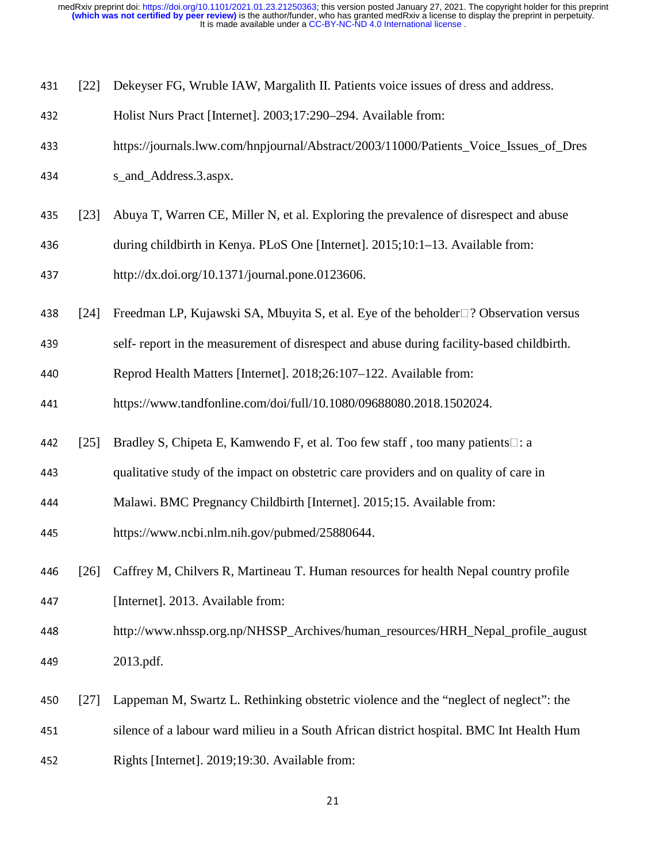| 431 | [22]               | Dekeyser FG, Wruble IAW, Margalith II. Patients voice issues of dress and address.          |
|-----|--------------------|---------------------------------------------------------------------------------------------|
| 432 |                    | Holist Nurs Pract [Internet]. 2003;17:290-294. Available from:                              |
| 433 |                    | https://journals.lww.com/hnpjournal/Abstract/2003/11000/Patients_Voice_Issues_of_Dres       |
| 434 |                    | s_and_Address.3.aspx.                                                                       |
| 435 | $\lceil 23 \rceil$ | Abuya T, Warren CE, Miller N, et al. Exploring the prevalence of disrespect and abuse       |
| 436 |                    | during childbirth in Kenya. PLoS One [Internet]. 2015;10:1-13. Available from:              |
| 437 |                    | http://dx.doi.org/10.1371/journal.pone.0123606.                                             |
| 438 | [24]               | Freedman LP, Kujawski SA, Mbuyita S, et al. Eye of the beholder $\Box$ ? Observation versus |
| 439 |                    | self-report in the measurement of disrespect and abuse during facility-based childbirth.    |
| 440 |                    | Reprod Health Matters [Internet]. 2018;26:107-122. Available from:                          |
| 441 |                    | https://www.tandfonline.com/doi/full/10.1080/09688080.2018.1502024.                         |
| 442 | [25]               | Bradley S, Chipeta E, Kamwendo F, et al. Too few staff, too many patients□: a               |
| 443 |                    | qualitative study of the impact on obstetric care providers and on quality of care in       |
| 444 |                    | Malawi. BMC Pregnancy Childbirth [Internet]. 2015;15. Available from:                       |
| 445 |                    | https://www.ncbi.nlm.nih.gov/pubmed/25880644.                                               |
| 446 | [26]               | Caffrey M, Chilvers R, Martineau T. Human resources for health Nepal country profile        |
| 447 |                    | [Internet]. 2013. Available from:                                                           |
| 448 |                    | http://www.nhssp.org.np/NHSSP_Archives/human_resources/HRH_Nepal_profile_august             |
| 449 |                    | 2013.pdf.                                                                                   |
| 450 | $[27]$             | Lappeman M, Swartz L. Rethinking obstetric violence and the "neglect of neglect": the       |
| 451 |                    | silence of a labour ward milieu in a South African district hospital. BMC Int Health Hum    |
| 452 |                    | Rights [Internet]. 2019;19:30. Available from:                                              |

21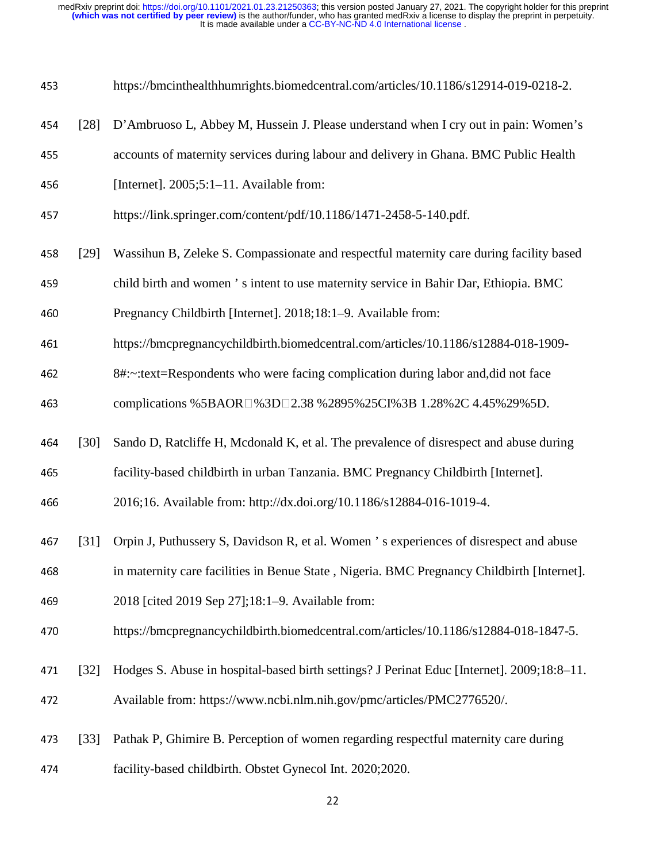| 453 |                    | https://bmcinthealthhumrights.biomedcentral.com/articles/10.1186/s12914-019-0218-2.        |
|-----|--------------------|--------------------------------------------------------------------------------------------|
| 454 | $\lceil 28 \rceil$ | D'Ambruoso L, Abbey M, Hussein J. Please understand when I cry out in pain: Women's        |
| 455 |                    | accounts of maternity services during labour and delivery in Ghana. BMC Public Health      |
| 456 |                    | [Internet]. $2005;5:1-11$ . Available from:                                                |
| 457 |                    | https://link.springer.com/content/pdf/10.1186/1471-2458-5-140.pdf.                         |
| 458 | $[29]$             | Wassihun B, Zeleke S. Compassionate and respectful maternity care during facility based    |
| 459 |                    | child birth and women 's intent to use maternity service in Bahir Dar, Ethiopia. BMC       |
| 460 |                    | Pregnancy Childbirth [Internet]. 2018;18:1–9. Available from:                              |
| 461 |                    | https://bmcpregnancychildbirth.biomedcentral.com/articles/10.1186/s12884-018-1909-         |
| 462 |                    | 8#:~:text=Respondents who were facing complication during labor and, did not face          |
| 463 |                    | complications %5BAOR□%3D□2.38 %2895%25CI%3B 1.28%2C 4.45%29%5D.                            |
| 464 | $[30]$             | Sando D, Ratcliffe H, Mcdonald K, et al. The prevalence of disrespect and abuse during     |
| 465 |                    | facility-based childbirth in urban Tanzania. BMC Pregnancy Childbirth [Internet].          |
| 466 |                    | 2016;16. Available from: http://dx.doi.org/10.1186/s12884-016-1019-4.                      |
| 467 | $\lceil 31 \rceil$ | Orpin J, Puthussery S, Davidson R, et al. Women 's experiences of disrespect and abuse     |
| 468 |                    | in maternity care facilities in Benue State, Nigeria. BMC Pregnancy Childbirth [Internet]. |
| 469 |                    | 2018 [cited 2019 Sep 27];18:1–9. Available from:                                           |
| 470 |                    | https://bmcpregnancychildbirth.biomedcentral.com/articles/10.1186/s12884-018-1847-5.       |
| 471 | $[32]$             | Hodges S. Abuse in hospital-based birth settings? J Perinat Educ [Internet]. 2009;18:8–11. |
| 472 |                    | Available from: https://www.ncbi.nlm.nih.gov/pmc/articles/PMC2776520/.                     |
| 473 | $[33]$             | Pathak P, Ghimire B. Perception of women regarding respectful maternity care during        |
| 474 |                    | facility-based childbirth. Obstet Gynecol Int. 2020;2020.                                  |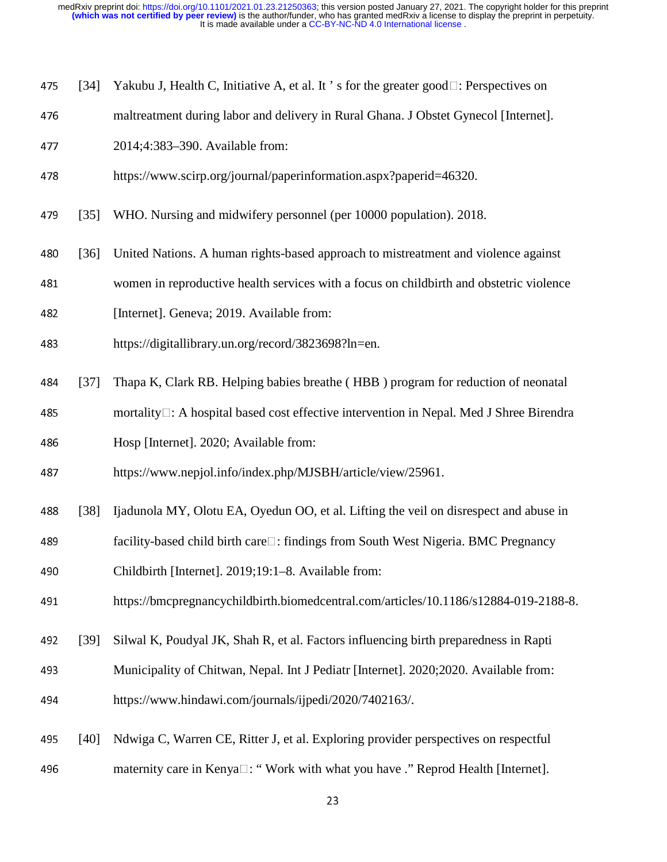- 475 [34] Yakubu J, Health C, Initiative A, et al. It 's for the greater good  $\Box$ : Perspectives on
- 476 maltreatment during labor and delivery in Rural Ghana. J Obstet Gynecol [Internet].
- 477 2014;4:383–390. Available from:
- 478 https://www.scirp.org/journal/paperinformation.aspx?paperid=46320.
- 479 [35] WHO. Nursing and midwifery personnel (per 10000 population). 2018.
- <sup>480</sup>[36] United Nations. A human rights-based approach to mistreatment and violence against
- 481 women in reproductive health services with a focus on childbirth and obstetric violence
- 482 [Internet]. Geneva; 2019. Available from:
- <sup>483</sup>https://digitallibrary.un.org/record/3823698?ln=en.
- <sup>484</sup>[37] Thapa K, Clark RB. Helping babies breathe ( HBB ) program for reduction of neonatal
- 485 mortality  $\Box$ : A hospital based cost effective intervention in Nepal. Med J Shree Birendra

486 Hosp [Internet]. 2020; Available from:

- 487 https://www.nepjol.info/index.php/MJSBH/article/view/25961.
- <sup>488</sup>[38] Ijadunola MY, Olotu EA, Oyedun OO, et al. Lifting the veil on disrespect and abuse in
- 489 facility-based child birth care□: findings from South West Nigeria. BMC Pregnancy
- <sup>490</sup>Childbirth [Internet]. 2019;19:1–8. Available from:
- 491 https://bmcpregnancychildbirth.biomedcentral.com/articles/10.1186/s12884-019-2188-8.
- <sup>492</sup>[39] Silwal K, Poudyal JK, Shah R, et al. Factors influencing birth preparedness in Rapti
- 493 Municipality of Chitwan, Nepal. Int J Pediatr [Internet]. 2020;2020. Available from: 494 https://www.hindawi.com/journals/ijpedi/2020/7402163/.
- <sup>495</sup>[40] Ndwiga C, Warren CE, Ritter J, et al. Exploring provider perspectives on respectful 496 maternity care in Kenya $\square$ : "Work with what you have ." Reprod Health [Internet].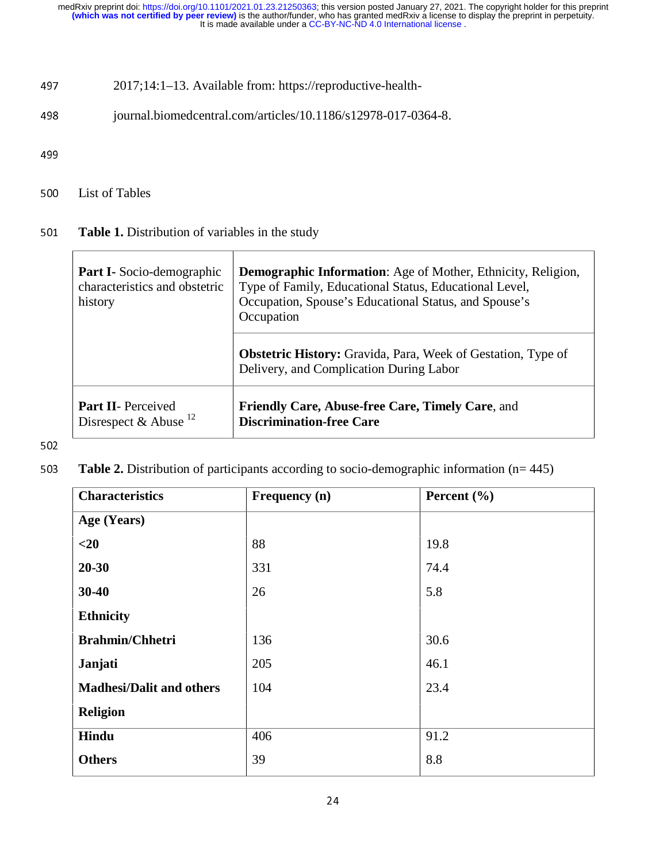### 497 2017;14:1–13. Available from: https://reproductive-health-

498 journal.biomedcentral.com/articles/10.1186/s12978-017-0364-8.

499

500 List of Tables

#### <sup>501</sup>**Table 1.** Distribution of variables in the study

| <b>Part I-</b> Socio-demographic<br>characteristics and obstetric<br>history | <b>Demographic Information:</b> Age of Mother, Ethnicity, Religion,<br>Type of Family, Educational Status, Educational Level,<br>Occupation, Spouse's Educational Status, and Spouse's<br>Occupation |  |
|------------------------------------------------------------------------------|------------------------------------------------------------------------------------------------------------------------------------------------------------------------------------------------------|--|
|                                                                              | <b>Obstetric History:</b> Gravida, Para, Week of Gestation, Type of<br>Delivery, and Complication During Labor                                                                                       |  |
| <b>Part II-</b> Perceived<br>Disrespect & Abuse $^{12}$                      | <b>Friendly Care, Abuse-free Care, Timely Care, and</b><br><b>Discrimination-free Care</b>                                                                                                           |  |

#### 502

<sup>503</sup>**Table 2.** Distribution of participants according to socio-demographic information (n= 445)

| <b>Characteristics</b>          | Frequency (n) | Percent $(\% )$ |
|---------------------------------|---------------|-----------------|
| Age (Years)                     |               |                 |
| $<$ 20                          | 88            | 19.8            |
| $20 - 30$                       | 331           | 74.4            |
| $30 - 40$                       | 26            | 5.8             |
| <b>Ethnicity</b>                |               |                 |
| <b>Brahmin/Chhetri</b>          | 136           | 30.6            |
| Janjati                         | 205           | 46.1            |
| <b>Madhesi/Dalit and others</b> | 104           | 23.4            |
| <b>Religion</b>                 |               |                 |
| Hindu                           | 406           | 91.2            |
| <b>Others</b>                   | 39            | 8.8             |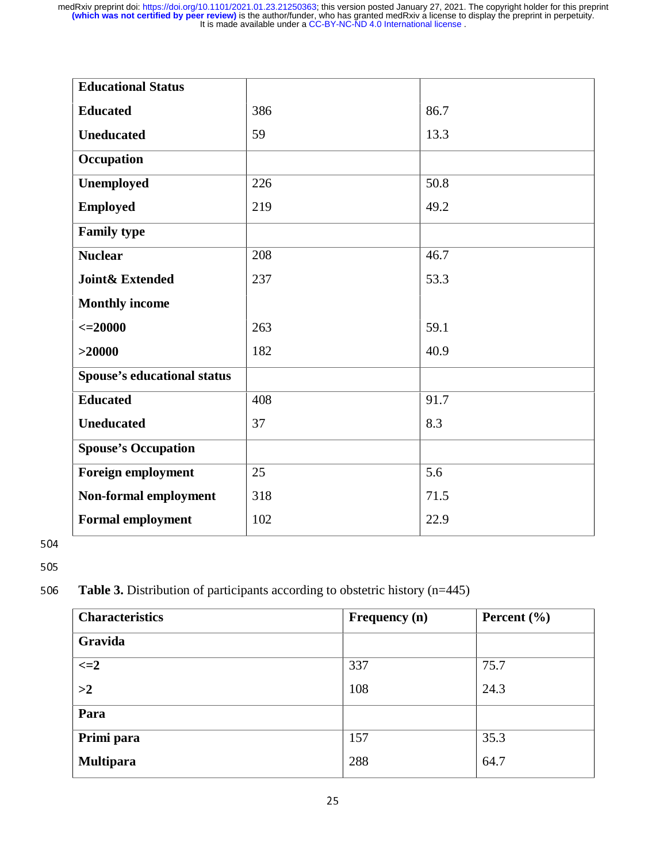| <b>Educational Status</b>          |     |      |
|------------------------------------|-----|------|
| <b>Educated</b>                    | 386 | 86.7 |
| <b>Uneducated</b>                  | 59  | 13.3 |
| Occupation                         |     |      |
| Unemployed                         | 226 | 50.8 |
| <b>Employed</b>                    | 219 | 49.2 |
| <b>Family type</b>                 |     |      |
| <b>Nuclear</b>                     | 208 | 46.7 |
| <b>Joint&amp; Extended</b>         | 237 | 53.3 |
| <b>Monthly income</b>              |     |      |
| $\epsilon = 20000$                 | 263 | 59.1 |
| >20000                             | 182 | 40.9 |
| <b>Spouse's educational status</b> |     |      |
| <b>Educated</b>                    | 408 | 91.7 |
| <b>Uneducated</b>                  | 37  | 8.3  |
| <b>Spouse's Occupation</b>         |     |      |
| <b>Foreign employment</b>          | 25  | 5.6  |
| Non-formal employment              | 318 | 71.5 |
| <b>Formal employment</b>           | 102 | 22.9 |

504

505

### <sup>506</sup>**Table 3.** Distribution of participants according to obstetric history (n=445)

| <b>Characteristics</b> | Frequency (n) | Percent $(\% )$ |
|------------------------|---------------|-----------------|
| Gravida                |               |                 |
| $\leq$ $=$ $2$         | 337           | 75.7            |
| >2                     | 108           | 24.3            |
| Para                   |               |                 |
| Primi para             | 157           | 35.3            |
| <b>Multipara</b>       | 288           | 64.7            |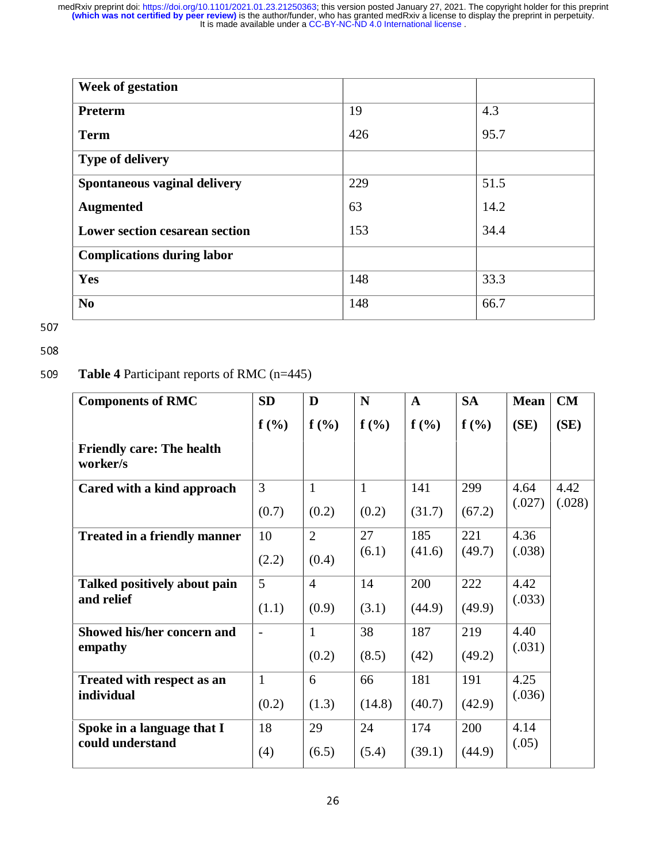| <b>Week of gestation</b>              |     |      |
|---------------------------------------|-----|------|
| Preterm                               | 19  | 4.3  |
| <b>Term</b>                           | 426 | 95.7 |
| <b>Type of delivery</b>               |     |      |
| Spontaneous vaginal delivery          | 229 | 51.5 |
| <b>Augmented</b>                      | 63  | 14.2 |
| <b>Lower section cesarean section</b> | 153 | 34.4 |
| <b>Complications during labor</b>     |     |      |
| Yes                                   | 148 | 33.3 |
| N <sub>0</sub>                        | 148 | 66.7 |

507

#### 508

### <sup>509</sup>**Table 4** Participant reports of RMC (n=445)

| <b>Components of RMC</b>                     | <b>SD</b>                | D              | N            | $\mathbf{A}$ | <b>SA</b>        | <b>Mean</b>    | CM   |
|----------------------------------------------|--------------------------|----------------|--------------|--------------|------------------|----------------|------|
|                                              | $f(\%)$                  | f(%)           | f(%)         | f(%)         | f(%)             | (SE)           | (SE) |
| <b>Friendly care: The health</b><br>worker/s |                          |                |              |              |                  |                |      |
| Cared with a kind approach                   | $\overline{3}$           | $\mathbf{1}$   | $\mathbf{1}$ | 141          | 299              | 4.64           | 4.42 |
|                                              | (0.7)                    | (0.2)          | (0.2)        | (31.7)       | (.027)<br>(67.2) | (.028)         |      |
| <b>Treated in a friendly manner</b>          | 10                       | $\overline{2}$ | 27           | 185          | 221              | 4.36<br>(.038) |      |
|                                              | (2.2)                    | (0.4)          | (6.1)        | (41.6)       | (49.7)           |                |      |
| Talked positively about pain                 | 5                        | $\overline{4}$ | 14           | 200          | 222              | 4.42<br>(.033) |      |
| and relief                                   | (1.1)                    | (0.9)          | (3.1)        | (44.9)       | (49.9)           |                |      |
| Showed his/her concern and                   | $\overline{\phantom{a}}$ | $\mathbf{1}$   | 38           | 187          | 219              | 4.40           |      |
| empathy                                      |                          | (0.2)          | (8.5)        | (42)         | (49.2)           | (.031)         |      |
| Treated with respect as an                   | $\mathbf{1}$             | 6              | 66           | 181          | 191              | 4.25           |      |
| individual                                   | (0.2)                    | (1.3)          | (14.8)       | (40.7)       | (42.9)           | (.036)         |      |
| Spoke in a language that I                   | 18                       | 29             | 24           | 174          | 200              | 4.14           |      |
| could understand                             | (4)                      | (6.5)          | (5.4)        | (39.1)       | (44.9)           | (.05)          |      |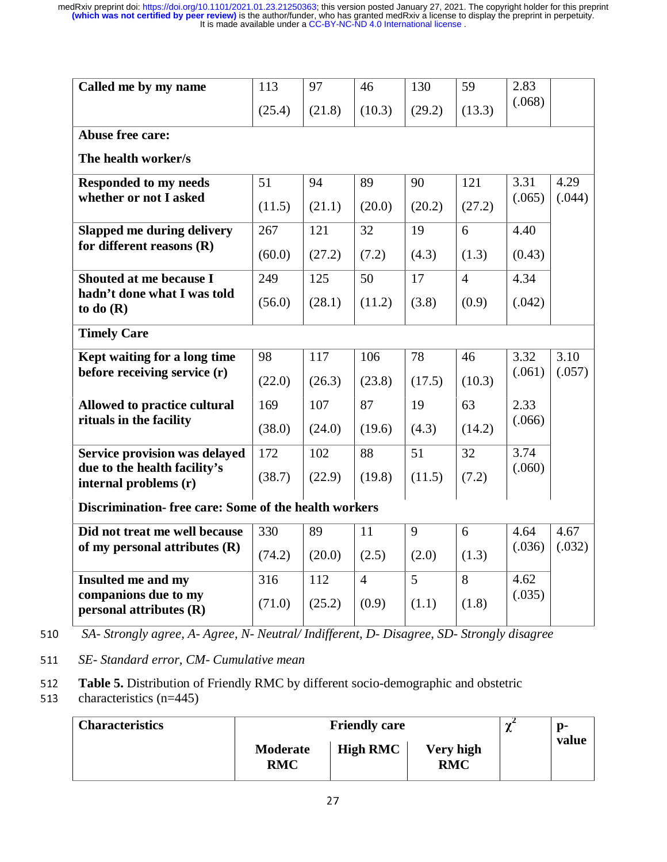| Called me by my name                                  | 113    | 97     | 46             | 130    | 59             | 2.83   |        |
|-------------------------------------------------------|--------|--------|----------------|--------|----------------|--------|--------|
|                                                       | (25.4) | (21.8) | (10.3)         | (29.2) | (13.3)         | (.068) |        |
| Abuse free care:                                      |        |        |                |        |                |        |        |
| The health worker/s                                   |        |        |                |        |                |        |        |
| <b>Responded to my needs</b>                          | 51     | 94     | 89             | 90     | 121            | 3.31   | 4.29   |
| whether or not I asked                                | (11.5) | (21.1) | (20.0)         | (20.2) | (27.2)         | (.065) | (.044) |
| <b>Slapped me during delivery</b>                     | 267    | 121    | 32             | 19     | 6              | 4.40   |        |
| for different reasons (R)                             | (60.0) | (27.2) | (7.2)          | (4.3)  | (1.3)          | (0.43) |        |
| <b>Shouted at me because I</b>                        | 249    | 125    | 50             | 17     | $\overline{4}$ | 4.34   |        |
| hadn't done what I was told<br>to do $(R)$            | (56.0) | (28.1) | (11.2)         | (3.8)  | (0.9)          | (.042) |        |
| <b>Timely Care</b>                                    |        |        |                |        |                |        |        |
| Kept waiting for a long time                          | 98     | 117    | 106            | 78     | 46             | 3.32   | 3.10   |
| before receiving service (r)                          | (22.0) | (26.3) | (23.8)         | (17.5) | (10.3)         | (.061) | (.057) |
| Allowed to practice cultural                          | 169    | 107    | 87             | 19     | 63             | 2.33   |        |
| rituals in the facility                               | (38.0) | (24.0) | (19.6)         | (4.3)  | (14.2)         | (.066) |        |
| <b>Service provision was delayed</b>                  | 172    | 102    | 88             | 51     | 32             | 3.74   |        |
| due to the health facility's<br>internal problems (r) | (38.7) | (22.9) | (19.8)         | (11.5) | (7.2)          | (.060) |        |
| Discrimination-free care: Some of the health workers  |        |        |                |        |                |        |        |
| Did not treat me well because                         | 330    | 89     | 11             | 9      | 6              | 4.64   | 4.67   |
| of my personal attributes $(R)$                       | (74.2) | (20.0) | (2.5)          | (2.0)  | (1.3)          | (.036) | (.032) |
| Insulted me and my                                    | 316    | 112    | $\overline{4}$ | 5      | 8              | 4.62   |        |
| companions due to my<br>personal attributes (R)       | (71.0) | (25.2) | (0.9)          | (1.1)  | (1.8)          | (.035) |        |

<sup>510</sup>*SA- Strongly agree, A- Agree, N- Neutral/ Indifferent, D- Disagree, SD- Strongly disagree* 

<sup>511</sup>*SE- Standard error, CM- Cumulative mean* 

**Table 5.** Distribution of Friendly RMC by different socio-demographic and obstetric characteristics (n=445)

characteristics (n=445)

| <b>Characteristics</b> |                               | ∼               | $\mathbf{p}$            |  |       |
|------------------------|-------------------------------|-----------------|-------------------------|--|-------|
|                        | <b>Moderate</b><br><b>RMC</b> | <b>High RMC</b> | Very high<br><b>RMC</b> |  | value |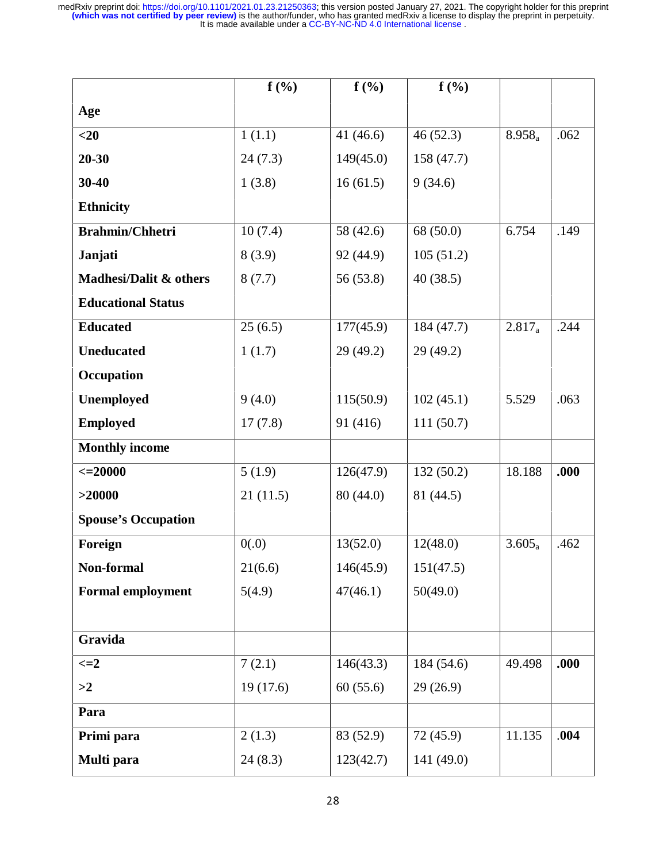|                            | $f(\%)$  | $f(\%)$     | $f(\%)$    |           |      |
|----------------------------|----------|-------------|------------|-----------|------|
| Age                        |          |             |            |           |      |
| $<$ 20                     | 1(1.1)   | 41 $(46.6)$ | 46(52.3)   | $8.958_a$ | .062 |
| $20 - 30$                  | 24(7.3)  | 149(45.0)   | 158 (47.7) |           |      |
| 30-40                      | 1(3.8)   | 16(61.5)    | 9(34.6)    |           |      |
| <b>Ethnicity</b>           |          |             |            |           |      |
| <b>Brahmin/Chhetri</b>     | 10(7.4)  | 58 (42.6)   | 68 (50.0)  | 6.754     | .149 |
| Janjati                    | 8(3.9)   | 92 (44.9)   | 105(51.2)  |           |      |
| Madhesi/Dalit & others     | 8(7.7)   | 56 (53.8)   | 40(38.5)   |           |      |
| <b>Educational Status</b>  |          |             |            |           |      |
| <b>Educated</b>            | 25(6.5)  | 177(45.9)   | 184 (47.7) | $2.817_a$ | .244 |
| <b>Uneducated</b>          | 1(1.7)   | 29(49.2)    | 29 (49.2)  |           |      |
| Occupation                 |          |             |            |           |      |
| Unemployed                 | 9(4.0)   | 115(50.9)   | 102(45.1)  | 5.529     | .063 |
| <b>Employed</b>            | 17(7.8)  | 91 (416)    | 111(50.7)  |           |      |
| <b>Monthly income</b>      |          |             |            |           |      |
| $\leq$ 20000               | 5(1.9)   | 126(47.9)   | 132(50.2)  | 18.188    | .000 |
| >20000                     | 21(11.5) | 80 (44.0)   | 81 (44.5)  |           |      |
| <b>Spouse's Occupation</b> |          |             |            |           |      |
| Foreign                    | 0(.0)    | 13(52.0)    | 12(48.0)   | $3.605_a$ | .462 |
| Non-formal                 | 21(6.6)  | 146(45.9)   | 151(47.5)  |           |      |
| <b>Formal employment</b>   | 5(4.9)   | 47(46.1)    | 50(49.0)   |           |      |
|                            |          |             |            |           |      |
| Gravida                    |          |             |            |           |      |
| $\leq=2$                   | 7(2.1)   | 146(43.3)   | 184 (54.6) | 49.498    | .000 |
| >2                         | 19(17.6) | 60(55.6)    | 29(26.9)   |           |      |
| Para                       |          |             |            |           |      |
| Primi para                 | 2(1.3)   | 83 (52.9)   | 72 (45.9)  | 11.135    | .004 |
| Multi para                 | 24(8.3)  | 123(42.7)   | 141 (49.0) |           |      |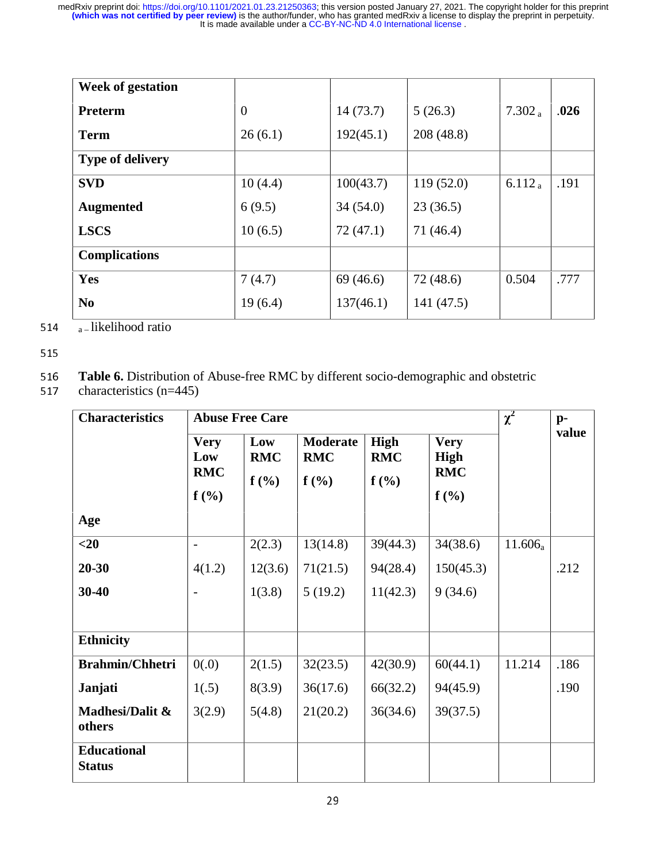| <b>Week of gestation</b> |          |           |            |                    |      |
|--------------------------|----------|-----------|------------|--------------------|------|
| <b>Preterm</b>           | $\theta$ | 14(73.7)  | 5(26.3)    | $7.302_a$          | .026 |
| <b>Term</b>              | 26(6.1)  | 192(45.1) | 208 (48.8) |                    |      |
| <b>Type of delivery</b>  |          |           |            |                    |      |
| <b>SVD</b>               | 10(4.4)  | 100(43.7) | 119(52.0)  | 6.112 <sub>a</sub> | .191 |
| <b>Augmented</b>         | 6(9.5)   | 34(54.0)  | 23(36.5)   |                    |      |
| <b>LSCS</b>              | 10(6.5)  | 72(47.1)  | 71(46.4)   |                    |      |
| <b>Complications</b>     |          |           |            |                    |      |
| Yes                      | 7(4.7)   | 69 (46.6) | 72(48.6)   | 0.504              | .777 |
| N <sub>0</sub>           | 19(6.4)  | 137(46.1) | 141 (47.5) |                    |      |

514  $a$  – likelihood ratio

515

## 516 Table 6. Distribution of Abuse-free RMC by different socio-demographic and obstetric characteristics (n=445)

characteristics  $(n=445)$ 

| <b>Characteristics</b>              | <b>Abuse Free Care</b>                      |                           |                                          |                                   |                                                  |            | $p-$  |
|-------------------------------------|---------------------------------------------|---------------------------|------------------------------------------|-----------------------------------|--------------------------------------------------|------------|-------|
|                                     | <b>Very</b><br>Low<br><b>RMC</b><br>$f(\%)$ | Low<br><b>RMC</b><br>f(%) | <b>Moderate</b><br><b>RMC</b><br>$f(\%)$ | <b>High</b><br><b>RMC</b><br>f(%) | <b>Very</b><br><b>High</b><br><b>RMC</b><br>f(%) |            | value |
| Age                                 |                                             |                           |                                          |                                   |                                                  |            |       |
| $<$ 20                              |                                             | 2(2.3)                    | 13(14.8)                                 | 39(44.3)                          | 34(38.6)                                         | $11.606_a$ |       |
| $20 - 30$                           | 4(1.2)                                      | 12(3.6)                   | 71(21.5)                                 | 94(28.4)                          | 150(45.3)                                        |            | .212  |
| $30 - 40$                           |                                             | 1(3.8)                    | 5(19.2)                                  | 11(42.3)                          | 9(34.6)                                          |            |       |
| <b>Ethnicity</b>                    |                                             |                           |                                          |                                   |                                                  |            |       |
| <b>Brahmin/Chhetri</b>              | 0(.0)                                       | 2(1.5)                    | 32(23.5)                                 | 42(30.9)                          | 60(44.1)                                         | 11.214     | .186  |
| Janjati                             | 1(.5)                                       | 8(3.9)                    | 36(17.6)                                 | 66(32.2)                          | 94(45.9)                                         |            | .190  |
| Madhesi/Dalit &<br>others           | 3(2.9)                                      | 5(4.8)                    | 21(20.2)                                 | 36(34.6)                          | 39(37.5)                                         |            |       |
| <b>Educational</b><br><b>Status</b> |                                             |                           |                                          |                                   |                                                  |            |       |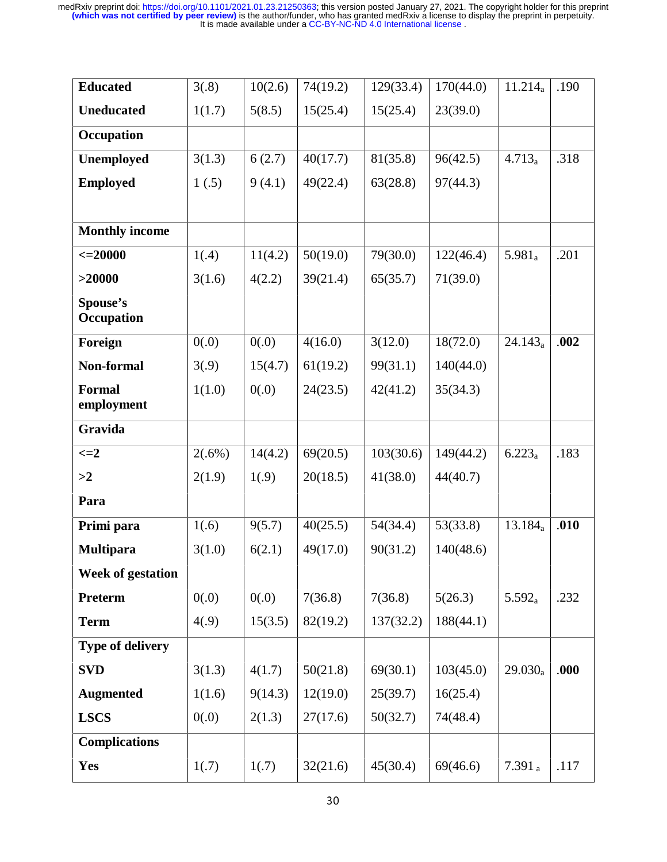| <b>Educated</b>             | 3(.8)     | 10(2.6) | 74(19.2) | 129(33.4) | 170(44.0) | $11.214_a$ | .190 |
|-----------------------------|-----------|---------|----------|-----------|-----------|------------|------|
| <b>Uneducated</b>           | 1(1.7)    | 5(8.5)  | 15(25.4) | 15(25.4)  | 23(39.0)  |            |      |
| Occupation                  |           |         |          |           |           |            |      |
| Unemployed                  | 3(1.3)    | 6(2.7)  | 40(17.7) | 81(35.8)  | 96(42.5)  | $4.713_a$  | .318 |
| <b>Employed</b>             | 1(.5)     | 9(4.1)  | 49(22.4) | 63(28.8)  | 97(44.3)  |            |      |
|                             |           |         |          |           |           |            |      |
| <b>Monthly income</b>       |           |         |          |           |           |            |      |
| $\leq$ 20000                | 1(.4)     | 11(4.2) | 50(19.0) | 79(30.0)  | 122(46.4) | $5.981_a$  | .201 |
| >20000                      | 3(1.6)    | 4(2.2)  | 39(21.4) | 65(35.7)  | 71(39.0)  |            |      |
| Spouse's<br>Occupation      |           |         |          |           |           |            |      |
| Foreign                     | 0(.0)     | 0(.0)   | 4(16.0)  | 3(12.0)   | 18(72.0)  | $24.143_a$ | .002 |
| Non-formal                  | 3(.9)     | 15(4.7) | 61(19.2) | 99(31.1)  | 140(44.0) |            |      |
| <b>Formal</b><br>employment | 1(1.0)    | 0(.0)   | 24(23.5) | 42(41.2)  | 35(34.3)  |            |      |
| Gravida                     |           |         |          |           |           |            |      |
| $\leq$ $=$ $2$              | $2(.6\%)$ | 14(4.2) | 69(20.5) | 103(30.6) | 149(44.2) | $6.223_a$  | .183 |
| >2                          | 2(1.9)    | 1(.9)   | 20(18.5) | 41(38.0)  | 44(40.7)  |            |      |
| Para                        |           |         |          |           |           |            |      |
| Primi para                  | 1(.6)     | 9(5.7)  | 40(25.5) | 54(34.4)  | 53(33.8)  | $13.184_a$ | .010 |
| <b>Multipara</b>            | 3(1.0)    | 6(2.1)  | 49(17.0) | 90(31.2)  | 140(48.6) |            |      |
| <b>Week of gestation</b>    |           |         |          |           |           |            |      |
| <b>Preterm</b>              | 0(.0)     | 0(.0)   | 7(36.8)  | 7(36.8)   | 5(26.3)   | $5.592_a$  | .232 |
| <b>Term</b>                 | 4(.9)     | 15(3.5) | 82(19.2) | 137(32.2) | 188(44.1) |            |      |
| Type of delivery            |           |         |          |           |           |            |      |
| <b>SVD</b>                  | 3(1.3)    | 4(1.7)  | 50(21.8) | 69(30.1)  | 103(45.0) | $29.030_a$ | .000 |
| <b>Augmented</b>            | 1(1.6)    | 9(14.3) | 12(19.0) | 25(39.7)  | 16(25.4)  |            |      |
| <b>LSCS</b>                 | 0(.0)     | 2(1.3)  | 27(17.6) | 50(32.7)  | 74(48.4)  |            |      |
| <b>Complications</b>        |           |         |          |           |           |            |      |
| Yes                         | 1(.7)     | 1(.7)   | 32(21.6) | 45(30.4)  | 69(46.6)  | 7.391a     | .117 |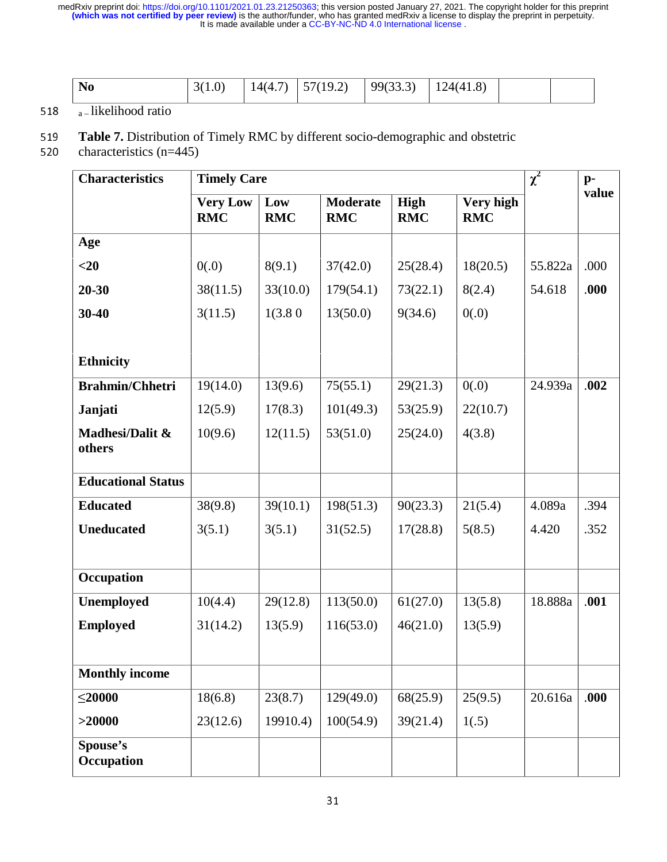| N <sub>0</sub> | 1.V<br>ັ | 140<br>$\overline{\phantom{a}}$ | 10 $\gamma$<br>$  \cdot$<br>, . <u>,</u> | (22.2)<br>QQ<br>100.O | $\Omega$<br>$\cdot$<br>. л.<br>$\prime$<br>$\cdot$ 1.0<br>--<br>$-$ |  |
|----------------|----------|---------------------------------|------------------------------------------|-----------------------|---------------------------------------------------------------------|--|
|                |          |                                 |                                          |                       |                                                                     |  |

### 518  $\sqrt{a}$ – likelihood ratio

## 519 Table 7. Distribution of Timely RMC by different socio-demographic and obstetric characteristics (n=445)

characteristics  $(n=445)$ 

| <b>Characteristics</b>    | <b>Timely Care</b>            |                   |                               |                           |                         |         | $p-$  |
|---------------------------|-------------------------------|-------------------|-------------------------------|---------------------------|-------------------------|---------|-------|
|                           | <b>Very Low</b><br><b>RMC</b> | Low<br><b>RMC</b> | <b>Moderate</b><br><b>RMC</b> | <b>High</b><br><b>RMC</b> | Very high<br><b>RMC</b> |         | value |
| Age                       |                               |                   |                               |                           |                         |         |       |
| $<$ 20                    | 0(.0)                         | 8(9.1)            | 37(42.0)                      | 25(28.4)                  | 18(20.5)                | 55.822a | .000  |
| $20 - 30$                 | 38(11.5)                      | 33(10.0)          | 179(54.1)                     | 73(22.1)                  | 8(2.4)                  | 54.618  | .000  |
| 30-40                     | 3(11.5)                       | 1(3.80)           | 13(50.0)                      | 9(34.6)                   | 0(.0)                   |         |       |
| <b>Ethnicity</b>          |                               |                   |                               |                           |                         |         |       |
| <b>Brahmin/Chhetri</b>    | 19(14.0)                      | 13(9.6)           | 75(55.1)                      | 29(21.3)                  | 0(.0)                   | 24.939a | .002  |
| Janjati                   | 12(5.9)                       | 17(8.3)           | 101(49.3)                     | 53(25.9)                  | 22(10.7)                |         |       |
| Madhesi/Dalit &<br>others | 10(9.6)                       | 12(11.5)          | 53(51.0)                      | 25(24.0)                  | 4(3.8)                  |         |       |
| <b>Educational Status</b> |                               |                   |                               |                           |                         |         |       |
| <b>Educated</b>           | 38(9.8)                       | 39(10.1)          | 198(51.3)                     | 90(23.3)                  | 21(5.4)                 | 4.089a  | .394  |
| <b>Uneducated</b>         | 3(5.1)                        | 3(5.1)            | 31(52.5)                      | 17(28.8)                  | 5(8.5)                  | 4.420   | .352  |
| Occupation                |                               |                   |                               |                           |                         |         |       |
| Unemployed                | 10(4.4)                       | 29(12.8)          | 113(50.0)                     | 61(27.0)                  | 13(5.8)                 | 18.888a | .001  |
| <b>Employed</b>           | 31(14.2)                      | 13(5.9)           | 116(53.0)                     | 46(21.0)                  | 13(5.9)                 |         |       |
| <b>Monthly income</b>     |                               |                   |                               |                           |                         |         |       |
| $\leq$ 20000              | 18(6.8)                       | 23(8.7)           | 129(49.0)                     | 68(25.9)                  | 25(9.5)                 | 20.616a | .000  |
| >20000                    | 23(12.6)                      | 19910.4)          | 100(54.9)                     | 39(21.4)                  | 1(.5)                   |         |       |
| Spouse's<br>Occupation    |                               |                   |                               |                           |                         |         |       |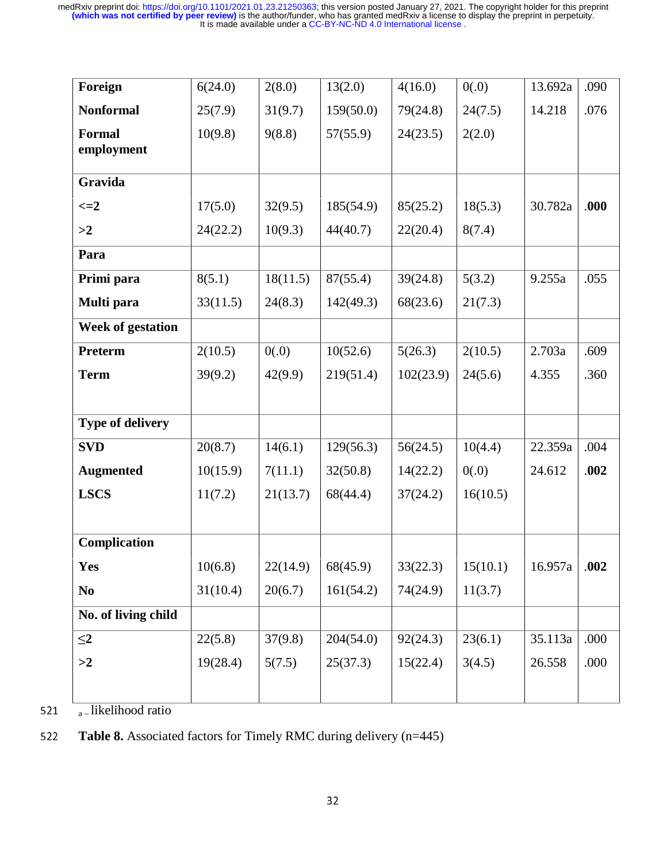| Foreign                  | 6(24.0)  | 2(8.0)   | 13(2.0)   | 4(16.0)   | 0(.0)    | 13.692a | .090 |
|--------------------------|----------|----------|-----------|-----------|----------|---------|------|
| <b>Nonformal</b>         | 25(7.9)  | 31(9.7)  | 159(50.0) | 79(24.8)  | 24(7.5)  | 14.218  | .076 |
| Formal<br>employment     | 10(9.8)  | 9(8.8)   | 57(55.9)  | 24(23.5)  | 2(2.0)   |         |      |
| Gravida                  |          |          |           |           |          |         |      |
| $\leq=2$                 | 17(5.0)  | 32(9.5)  | 185(54.9) | 85(25.2)  | 18(5.3)  | 30.782a | .000 |
| >2                       | 24(22.2) | 10(9.3)  | 44(40.7)  | 22(20.4)  | 8(7.4)   |         |      |
| Para                     |          |          |           |           |          |         |      |
| Primi para               | 8(5.1)   | 18(11.5) | 87(55.4)  | 39(24.8)  | 5(3.2)   | 9.255a  | .055 |
| Multi para               | 33(11.5) | 24(8.3)  | 142(49.3) | 68(23.6)  | 21(7.3)  |         |      |
| <b>Week of gestation</b> |          |          |           |           |          |         |      |
| <b>Preterm</b>           | 2(10.5)  | 0(.0)    | 10(52.6)  | 5(26.3)   | 2(10.5)  | 2.703a  | .609 |
| <b>Term</b>              | 39(9.2)  | 42(9.9)  | 219(51.4) | 102(23.9) | 24(5.6)  | 4.355   | .360 |
|                          |          |          |           |           |          |         |      |
| Type of delivery         |          |          |           |           |          |         |      |
| <b>SVD</b>               | 20(8.7)  | 14(6.1)  | 129(56.3) | 56(24.5)  | 10(4.4)  | 22.359a | .004 |
| <b>Augmented</b>         | 10(15.9) | 7(11.1)  | 32(50.8)  | 14(22.2)  | 0(.0)    | 24.612  | .002 |
| <b>LSCS</b>              | 11(7.2)  | 21(13.7) | 68(44.4)  | 37(24.2)  | 16(10.5) |         |      |
|                          |          |          |           |           |          |         |      |
| Complication             |          |          |           |           |          |         |      |
| Yes                      | 10(6.8)  | 22(14.9) | 68(45.9)  | 33(22.3)  | 15(10.1) | 16.957a | .002 |
| N <sub>0</sub>           | 31(10.4) | 20(6.7)  | 161(54.2) | 74(24.9)  | 11(3.7)  |         |      |
| No. of living child      |          |          |           |           |          |         |      |
| $\leq$ 2                 | 22(5.8)  | 37(9.8)  | 204(54.0) | 92(24.3)  | 23(6.1)  | 35.113a | .000 |
| >2                       | 19(28.4) | 5(7.5)   | 25(37.3)  | 15(22.4)  | 3(4.5)   | 26.558  | .000 |
|                          |          |          |           |           |          |         |      |
|                          |          |          |           |           |          |         |      |

521  $a$  – likelihood ratio

<sup>522</sup>**Table 8.** Associated factors for Timely RMC during delivery (n=445)